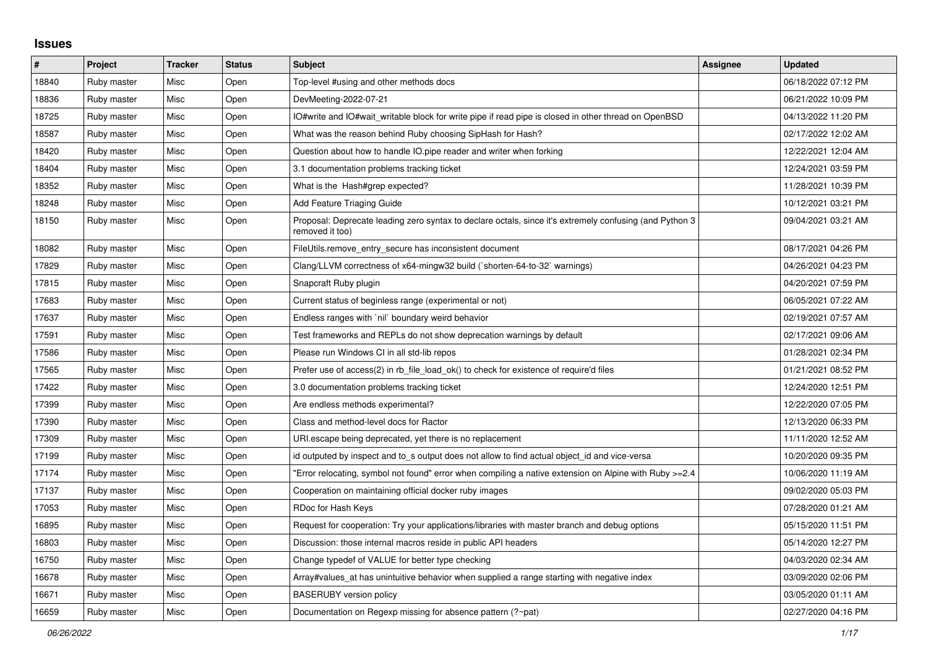## **Issues**

| #     | <b>Project</b> | <b>Tracker</b> | <b>Status</b> | <b>Subject</b>                                                                                                             | <b>Assignee</b> | <b>Updated</b>      |
|-------|----------------|----------------|---------------|----------------------------------------------------------------------------------------------------------------------------|-----------------|---------------------|
| 18840 | Ruby master    | Misc           | Open          | Top-level #using and other methods docs                                                                                    |                 | 06/18/2022 07:12 PM |
| 18836 | Ruby master    | Misc           | Open          | DevMeeting-2022-07-21                                                                                                      |                 | 06/21/2022 10:09 PM |
| 18725 | Ruby master    | Misc           | Open          | IO#write and IO#wait_writable block for write pipe if read pipe is closed in other thread on OpenBSD                       |                 | 04/13/2022 11:20 PM |
| 18587 | Ruby master    | Misc           | Open          | What was the reason behind Ruby choosing SipHash for Hash?                                                                 |                 | 02/17/2022 12:02 AM |
| 18420 | Ruby master    | Misc           | Open          | Question about how to handle IO.pipe reader and writer when forking                                                        |                 | 12/22/2021 12:04 AM |
| 18404 | Ruby master    | Misc           | Open          | 3.1 documentation problems tracking ticket                                                                                 |                 | 12/24/2021 03:59 PM |
| 18352 | Ruby master    | Misc           | Open          | What is the Hash#grep expected?                                                                                            |                 | 11/28/2021 10:39 PM |
| 18248 | Ruby master    | Misc           | Open          | Add Feature Triaging Guide                                                                                                 |                 | 10/12/2021 03:21 PM |
| 18150 | Ruby master    | Misc           | Open          | Proposal: Deprecate leading zero syntax to declare octals, since it's extremely confusing (and Python 3<br>removed it too) |                 | 09/04/2021 03:21 AM |
| 18082 | Ruby master    | Misc           | Open          | FileUtils.remove_entry_secure has inconsistent document                                                                    |                 | 08/17/2021 04:26 PM |
| 17829 | Ruby master    | Misc           | Open          | Clang/LLVM correctness of x64-mingw32 build (`shorten-64-to-32` warnings)                                                  |                 | 04/26/2021 04:23 PM |
| 17815 | Ruby master    | Misc           | Open          | Snapcraft Ruby plugin                                                                                                      |                 | 04/20/2021 07:59 PM |
| 17683 | Ruby master    | Misc           | Open          | Current status of beginless range (experimental or not)                                                                    |                 | 06/05/2021 07:22 AM |
| 17637 | Ruby master    | Misc           | Open          | Endless ranges with `nil` boundary weird behavior                                                                          |                 | 02/19/2021 07:57 AM |
| 17591 | Ruby master    | Misc           | Open          | Test frameworks and REPLs do not show deprecation warnings by default                                                      |                 | 02/17/2021 09:06 AM |
| 17586 | Ruby master    | Misc           | Open          | Please run Windows CI in all std-lib repos                                                                                 |                 | 01/28/2021 02:34 PM |
| 17565 | Ruby master    | Misc           | Open          | Prefer use of access(2) in rb file load ok() to check for existence of require'd files                                     |                 | 01/21/2021 08:52 PM |
| 17422 | Ruby master    | Misc           | Open          | 3.0 documentation problems tracking ticket                                                                                 |                 | 12/24/2020 12:51 PM |
| 17399 | Ruby master    | Misc           | Open          | Are endless methods experimental?                                                                                          |                 | 12/22/2020 07:05 PM |
| 17390 | Ruby master    | Misc           | Open          | Class and method-level docs for Ractor                                                                                     |                 | 12/13/2020 06:33 PM |
| 17309 | Ruby master    | Misc           | Open          | URI escape being deprecated, yet there is no replacement                                                                   |                 | 11/11/2020 12:52 AM |
| 17199 | Ruby master    | Misc           | Open          | id outputed by inspect and to s output does not allow to find actual object id and vice-versa                              |                 | 10/20/2020 09:35 PM |
| 17174 | Ruby master    | Misc           | Open          | Error relocating, symbol not found" error when compiling a native extension on Alpine with Ruby >=2.4"                     |                 | 10/06/2020 11:19 AM |
| 17137 | Ruby master    | Misc           | Open          | Cooperation on maintaining official docker ruby images                                                                     |                 | 09/02/2020 05:03 PM |
| 17053 | Ruby master    | Misc           | Open          | RDoc for Hash Keys                                                                                                         |                 | 07/28/2020 01:21 AM |
| 16895 | Ruby master    | Misc           | Open          | Request for cooperation: Try your applications/libraries with master branch and debug options                              |                 | 05/15/2020 11:51 PM |
| 16803 | Ruby master    | Misc           | Open          | Discussion: those internal macros reside in public API headers                                                             |                 | 05/14/2020 12:27 PM |
| 16750 | Ruby master    | Misc           | Open          | Change typedef of VALUE for better type checking                                                                           |                 | 04/03/2020 02:34 AM |
| 16678 | Ruby master    | Misc           | Open          | Array#values at has unintuitive behavior when supplied a range starting with negative index                                |                 | 03/09/2020 02:06 PM |
| 16671 | Ruby master    | Misc           | Open          | <b>BASERUBY</b> version policy                                                                                             |                 | 03/05/2020 01:11 AM |
| 16659 | Ruby master    | Misc           | Open          | Documentation on Regexp missing for absence pattern (?~pat)                                                                |                 | 02/27/2020 04:16 PM |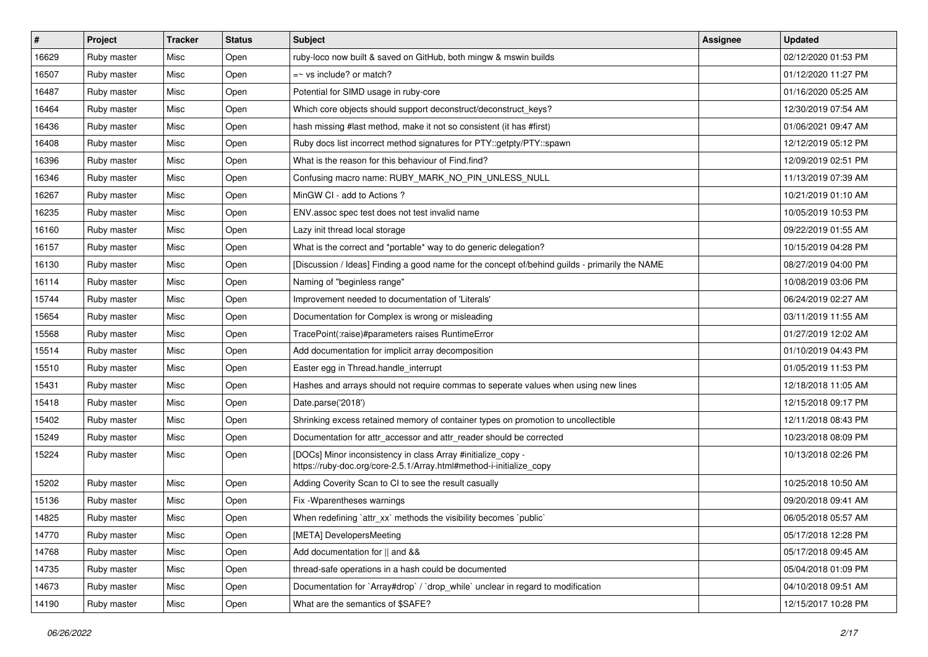| $\sharp$ | Project     | <b>Tracker</b> | <b>Status</b> | Subject                                                                                                                             | <b>Assignee</b> | <b>Updated</b>      |
|----------|-------------|----------------|---------------|-------------------------------------------------------------------------------------------------------------------------------------|-----------------|---------------------|
| 16629    | Ruby master | Misc           | Open          | ruby-loco now built & saved on GitHub, both mingw & mswin builds                                                                    |                 | 02/12/2020 01:53 PM |
| 16507    | Ruby master | Misc           | Open          | $=$ vs include? or match?                                                                                                           |                 | 01/12/2020 11:27 PM |
| 16487    | Ruby master | Misc           | Open          | Potential for SIMD usage in ruby-core                                                                                               |                 | 01/16/2020 05:25 AM |
| 16464    | Ruby master | Misc           | Open          | Which core objects should support deconstruct/deconstruct_keys?                                                                     |                 | 12/30/2019 07:54 AM |
| 16436    | Ruby master | Misc           | Open          | hash missing #last method, make it not so consistent (it has #first)                                                                |                 | 01/06/2021 09:47 AM |
| 16408    | Ruby master | Misc           | Open          | Ruby docs list incorrect method signatures for PTY::getpty/PTY::spawn                                                               |                 | 12/12/2019 05:12 PM |
| 16396    | Ruby master | Misc           | Open          | What is the reason for this behaviour of Find.find?                                                                                 |                 | 12/09/2019 02:51 PM |
| 16346    | Ruby master | Misc           | Open          | Confusing macro name: RUBY MARK NO PIN UNLESS NULL                                                                                  |                 | 11/13/2019 07:39 AM |
| 16267    | Ruby master | Misc           | Open          | MinGW CI - add to Actions ?                                                                                                         |                 | 10/21/2019 01:10 AM |
| 16235    | Ruby master | Misc           | Open          | ENV assoc spec test does not test invalid name                                                                                      |                 | 10/05/2019 10:53 PM |
| 16160    | Ruby master | Misc           | Open          | Lazy init thread local storage                                                                                                      |                 | 09/22/2019 01:55 AM |
| 16157    | Ruby master | Misc           | Open          | What is the correct and *portable* way to do generic delegation?                                                                    |                 | 10/15/2019 04:28 PM |
| 16130    | Ruby master | Misc           | Open          | [Discussion / Ideas] Finding a good name for the concept of/behind guilds - primarily the NAME                                      |                 | 08/27/2019 04:00 PM |
| 16114    | Ruby master | Misc           | Open          | Naming of "beginless range"                                                                                                         |                 | 10/08/2019 03:06 PM |
| 15744    | Ruby master | Misc           | Open          | Improvement needed to documentation of 'Literals'                                                                                   |                 | 06/24/2019 02:27 AM |
| 15654    | Ruby master | Misc           | Open          | Documentation for Complex is wrong or misleading                                                                                    |                 | 03/11/2019 11:55 AM |
| 15568    | Ruby master | Misc           | Open          | TracePoint(:raise)#parameters raises RuntimeError                                                                                   |                 | 01/27/2019 12:02 AM |
| 15514    | Ruby master | Misc           | Open          | Add documentation for implicit array decomposition                                                                                  |                 | 01/10/2019 04:43 PM |
| 15510    | Ruby master | Misc           | Open          | Easter egg in Thread.handle_interrupt                                                                                               |                 | 01/05/2019 11:53 PM |
| 15431    | Ruby master | Misc           | Open          | Hashes and arrays should not require commas to seperate values when using new lines                                                 |                 | 12/18/2018 11:05 AM |
| 15418    | Ruby master | Misc           | Open          | Date.parse('2018')                                                                                                                  |                 | 12/15/2018 09:17 PM |
| 15402    | Ruby master | Misc           | Open          | Shrinking excess retained memory of container types on promotion to uncollectible                                                   |                 | 12/11/2018 08:43 PM |
| 15249    | Ruby master | Misc           | Open          | Documentation for attr_accessor and attr_reader should be corrected                                                                 |                 | 10/23/2018 08:09 PM |
| 15224    | Ruby master | Misc           | Open          | [DOCs] Minor inconsistency in class Array #initialize_copy -<br>https://ruby-doc.org/core-2.5.1/Array.html#method-i-initialize_copy |                 | 10/13/2018 02:26 PM |
| 15202    | Ruby master | Misc           | Open          | Adding Coverity Scan to CI to see the result casually                                                                               |                 | 10/25/2018 10:50 AM |
| 15136    | Ruby master | Misc           | Open          | Fix - Wparentheses warnings                                                                                                         |                 | 09/20/2018 09:41 AM |
| 14825    | Ruby master | Misc           | Open          | When redefining `attr_xx` methods the visibility becomes `public`                                                                   |                 | 06/05/2018 05:57 AM |
| 14770    | Ruby master | Misc           | Open          | [META] DevelopersMeeting                                                                                                            |                 | 05/17/2018 12:28 PM |
| 14768    | Ruby master | Misc           | Open          | Add documentation for    and &&                                                                                                     |                 | 05/17/2018 09:45 AM |
| 14735    | Ruby master | Misc           | Open          | thread-safe operations in a hash could be documented                                                                                |                 | 05/04/2018 01:09 PM |
| 14673    | Ruby master | Misc           | Open          | Documentation for `Array#drop` / `drop_while` unclear in regard to modification                                                     |                 | 04/10/2018 09:51 AM |
| 14190    | Ruby master | Misc           | Open          | What are the semantics of \$SAFE?                                                                                                   |                 | 12/15/2017 10:28 PM |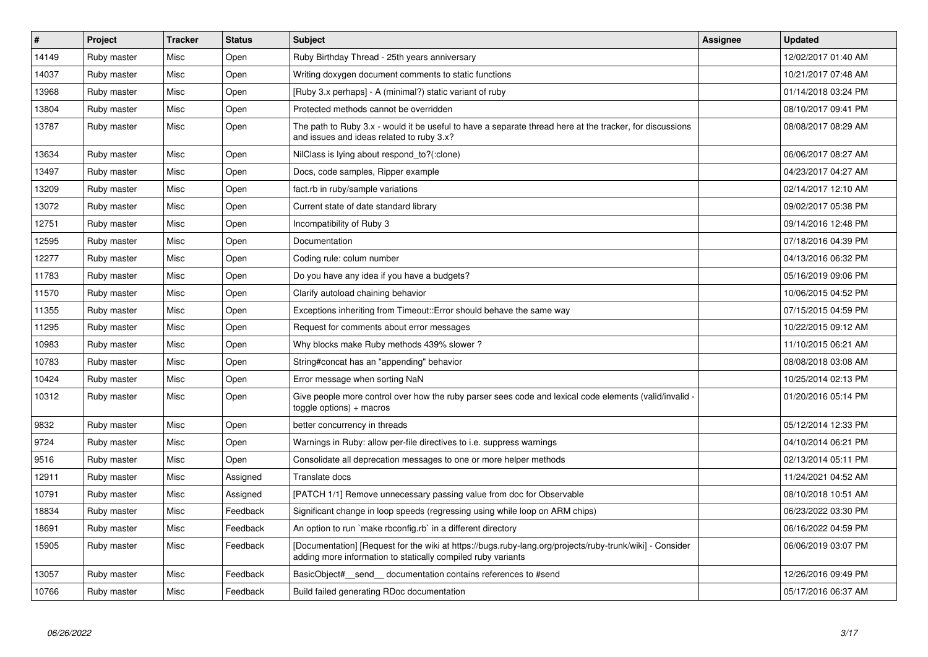| $\vert$ # | <b>Project</b> | <b>Tracker</b> | <b>Status</b> | <b>Subject</b>                                                                                                                                                           | <b>Assignee</b> | <b>Updated</b>      |
|-----------|----------------|----------------|---------------|--------------------------------------------------------------------------------------------------------------------------------------------------------------------------|-----------------|---------------------|
| 14149     | Ruby master    | Misc           | Open          | Ruby Birthday Thread - 25th years anniversary                                                                                                                            |                 | 12/02/2017 01:40 AM |
| 14037     | Ruby master    | Misc           | Open          | Writing doxygen document comments to static functions                                                                                                                    |                 | 10/21/2017 07:48 AM |
| 13968     | Ruby master    | Misc           | Open          | [Ruby 3.x perhaps] - A (minimal?) static variant of ruby                                                                                                                 |                 | 01/14/2018 03:24 PM |
| 13804     | Ruby master    | Misc           | Open          | Protected methods cannot be overridden                                                                                                                                   |                 | 08/10/2017 09:41 PM |
| 13787     | Ruby master    | Misc           | Open          | The path to Ruby 3.x - would it be useful to have a separate thread here at the tracker, for discussions<br>and issues and ideas related to ruby 3.x?                    |                 | 08/08/2017 08:29 AM |
| 13634     | Ruby master    | Misc           | Open          | NilClass is lying about respond to?(:clone)                                                                                                                              |                 | 06/06/2017 08:27 AM |
| 13497     | Ruby master    | Misc           | Open          | Docs, code samples, Ripper example                                                                                                                                       |                 | 04/23/2017 04:27 AM |
| 13209     | Ruby master    | Misc           | Open          | fact.rb in ruby/sample variations                                                                                                                                        |                 | 02/14/2017 12:10 AM |
| 13072     | Ruby master    | Misc           | Open          | Current state of date standard library                                                                                                                                   |                 | 09/02/2017 05:38 PM |
| 12751     | Ruby master    | Misc           | Open          | Incompatibility of Ruby 3                                                                                                                                                |                 | 09/14/2016 12:48 PM |
| 12595     | Ruby master    | Misc           | Open          | Documentation                                                                                                                                                            |                 | 07/18/2016 04:39 PM |
| 12277     | Ruby master    | Misc           | Open          | Coding rule: colum number                                                                                                                                                |                 | 04/13/2016 06:32 PM |
| 11783     | Ruby master    | Misc           | Open          | Do you have any idea if you have a budgets?                                                                                                                              |                 | 05/16/2019 09:06 PM |
| 11570     | Ruby master    | Misc           | Open          | Clarify autoload chaining behavior                                                                                                                                       |                 | 10/06/2015 04:52 PM |
| 11355     | Ruby master    | Misc           | Open          | Exceptions inheriting from Timeout::Error should behave the same way                                                                                                     |                 | 07/15/2015 04:59 PM |
| 11295     | Ruby master    | Misc           | Open          | Request for comments about error messages                                                                                                                                |                 | 10/22/2015 09:12 AM |
| 10983     | Ruby master    | Misc           | Open          | Why blocks make Ruby methods 439% slower?                                                                                                                                |                 | 11/10/2015 06:21 AM |
| 10783     | Ruby master    | Misc           | Open          | String#concat has an "appending" behavior                                                                                                                                |                 | 08/08/2018 03:08 AM |
| 10424     | Ruby master    | Misc           | Open          | Error message when sorting NaN                                                                                                                                           |                 | 10/25/2014 02:13 PM |
| 10312     | Ruby master    | Misc           | Open          | Give people more control over how the ruby parser sees code and lexical code elements (valid/invalid -<br>$toggle$ options) + macros                                     |                 | 01/20/2016 05:14 PM |
| 9832      | Ruby master    | Misc           | Open          | better concurrency in threads                                                                                                                                            |                 | 05/12/2014 12:33 PM |
| 9724      | Ruby master    | Misc           | Open          | Warnings in Ruby: allow per-file directives to i.e. suppress warnings                                                                                                    |                 | 04/10/2014 06:21 PM |
| 9516      | Ruby master    | Misc           | Open          | Consolidate all deprecation messages to one or more helper methods                                                                                                       |                 | 02/13/2014 05:11 PM |
| 12911     | Ruby master    | Misc           | Assigned      | Translate docs                                                                                                                                                           |                 | 11/24/2021 04:52 AM |
| 10791     | Ruby master    | Misc           | Assigned      | [PATCH 1/1] Remove unnecessary passing value from doc for Observable                                                                                                     |                 | 08/10/2018 10:51 AM |
| 18834     | Ruby master    | Misc           | Feedback      | Significant change in loop speeds (regressing using while loop on ARM chips)                                                                                             |                 | 06/23/2022 03:30 PM |
| 18691     | Ruby master    | Misc           | Feedback      | An option to run `make rbconfig.rb` in a different directory                                                                                                             |                 | 06/16/2022 04:59 PM |
| 15905     | Ruby master    | Misc           | Feedback      | [Documentation] [Request for the wiki at https://bugs.ruby-lang.org/projects/ruby-trunk/wiki] - Consider<br>adding more information to statically compiled ruby variants |                 | 06/06/2019 03:07 PM |
| 13057     | Ruby master    | Misc           | Feedback      | BasicObject# send documentation contains references to #send                                                                                                             |                 | 12/26/2016 09:49 PM |
| 10766     | Ruby master    | Misc           | Feedback      | Build failed generating RDoc documentation                                                                                                                               |                 | 05/17/2016 06:37 AM |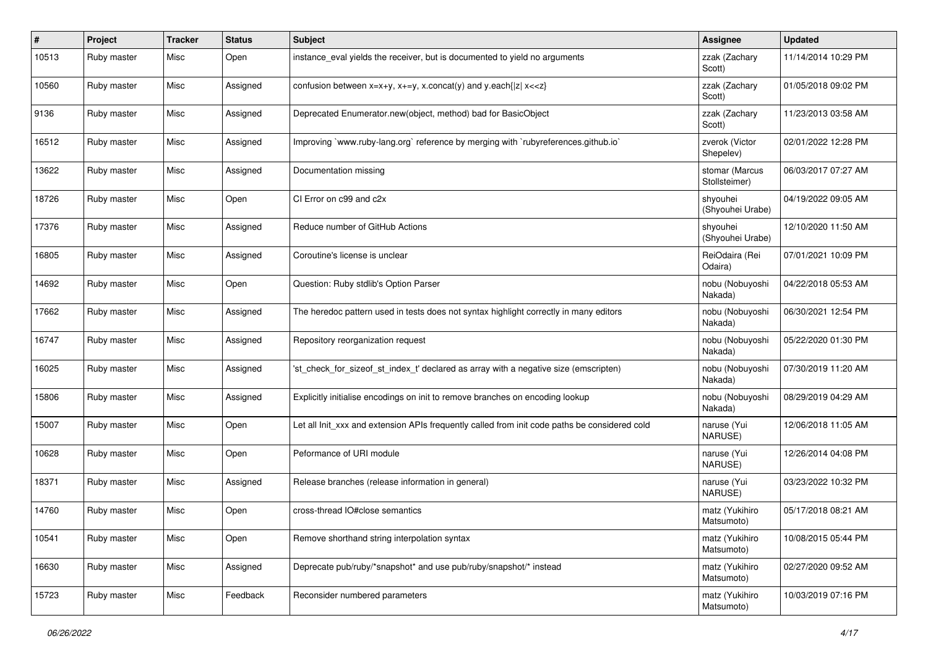| #     | Project     | <b>Tracker</b> | <b>Status</b> | Subject                                                                                       | Assignee                        | <b>Updated</b>      |
|-------|-------------|----------------|---------------|-----------------------------------------------------------------------------------------------|---------------------------------|---------------------|
| 10513 | Ruby master | Misc           | Open          | instance_eval yields the receiver, but is documented to yield no arguments                    | zzak (Zachary<br>Scott)         | 11/14/2014 10:29 PM |
| 10560 | Ruby master | Misc           | Assigned      | confusion between $x=x+y$ , $x+=y$ , x.concat(y) and y.each{ z  $x<}$                         | zzak (Zachary<br>Scott)         | 01/05/2018 09:02 PM |
| 9136  | Ruby master | Misc           | Assigned      | Deprecated Enumerator.new(object, method) bad for BasicObject                                 | zzak (Zachary<br>Scott)         | 11/23/2013 03:58 AM |
| 16512 | Ruby master | Misc           | Assigned      | Improving `www.ruby-lang.org` reference by merging with `rubyreferences.github.io`            | zverok (Victor<br>Shepelev)     | 02/01/2022 12:28 PM |
| 13622 | Ruby master | Misc           | Assigned      | Documentation missing                                                                         | stomar (Marcus<br>Stollsteimer) | 06/03/2017 07:27 AM |
| 18726 | Ruby master | Misc           | Open          | CI Error on c99 and c2x                                                                       | shyouhei<br>(Shyouhei Urabe)    | 04/19/2022 09:05 AM |
| 17376 | Ruby master | Misc           | Assigned      | Reduce number of GitHub Actions                                                               | shyouhei<br>(Shyouhei Urabe)    | 12/10/2020 11:50 AM |
| 16805 | Ruby master | Misc           | Assigned      | Coroutine's license is unclear                                                                | ReiOdaira (Rei<br>Odaira)       | 07/01/2021 10:09 PM |
| 14692 | Ruby master | Misc           | Open          | Question: Ruby stdlib's Option Parser                                                         | nobu (Nobuyoshi<br>Nakada)      | 04/22/2018 05:53 AM |
| 17662 | Ruby master | Misc           | Assigned      | The heredoc pattern used in tests does not syntax highlight correctly in many editors         | nobu (Nobuyoshi<br>Nakada)      | 06/30/2021 12:54 PM |
| 16747 | Ruby master | Misc           | Assigned      | Repository reorganization request                                                             | nobu (Nobuyoshi<br>Nakada)      | 05/22/2020 01:30 PM |
| 16025 | Ruby master | Misc           | Assigned      | 'st_check_for_sizeof_st_index_t' declared as array with a negative size (emscripten)          | nobu (Nobuyoshi<br>Nakada)      | 07/30/2019 11:20 AM |
| 15806 | Ruby master | Misc           | Assigned      | Explicitly initialise encodings on init to remove branches on encoding lookup                 | nobu (Nobuyoshi<br>Nakada)      | 08/29/2019 04:29 AM |
| 15007 | Ruby master | Misc           | Open          | Let all Init_xxx and extension APIs frequently called from init code paths be considered cold | naruse (Yui<br>NARUSE)          | 12/06/2018 11:05 AM |
| 10628 | Ruby master | Misc           | Open          | Peformance of URI module                                                                      | naruse (Yui<br>NARUSE)          | 12/26/2014 04:08 PM |
| 18371 | Ruby master | Misc           | Assigned      | Release branches (release information in general)                                             | naruse (Yui<br>NARUSE)          | 03/23/2022 10:32 PM |
| 14760 | Ruby master | Misc           | Open          | cross-thread IO#close semantics                                                               | matz (Yukihiro<br>Matsumoto)    | 05/17/2018 08:21 AM |
| 10541 | Ruby master | Misc           | Open          | Remove shorthand string interpolation syntax                                                  | matz (Yukihiro<br>Matsumoto)    | 10/08/2015 05:44 PM |
| 16630 | Ruby master | Misc           | Assigned      | Deprecate pub/ruby/*snapshot* and use pub/ruby/snapshot/* instead                             | matz (Yukihiro<br>Matsumoto)    | 02/27/2020 09:52 AM |
| 15723 | Ruby master | Misc           | Feedback      | Reconsider numbered parameters                                                                | matz (Yukihiro<br>Matsumoto)    | 10/03/2019 07:16 PM |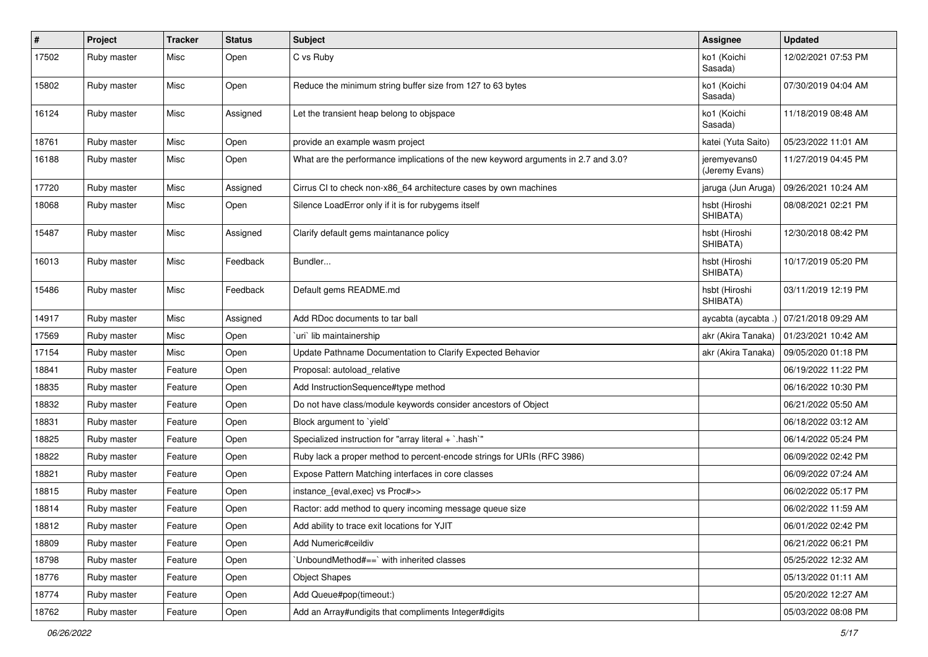| $\sharp$ | Project     | <b>Tracker</b> | <b>Status</b> | <b>Subject</b>                                                                     | Assignee                       | <b>Updated</b>      |
|----------|-------------|----------------|---------------|------------------------------------------------------------------------------------|--------------------------------|---------------------|
| 17502    | Ruby master | Misc           | Open          | C vs Ruby                                                                          | ko1 (Koichi<br>Sasada)         | 12/02/2021 07:53 PM |
| 15802    | Ruby master | Misc           | Open          | Reduce the minimum string buffer size from 127 to 63 bytes                         | ko1 (Koichi<br>Sasada)         | 07/30/2019 04:04 AM |
| 16124    | Ruby master | Misc           | Assigned      | Let the transient heap belong to objspace                                          | ko1 (Koichi<br>Sasada)         | 11/18/2019 08:48 AM |
| 18761    | Ruby master | Misc           | Open          | provide an example wasm project                                                    | katei (Yuta Saito)             | 05/23/2022 11:01 AM |
| 16188    | Ruby master | Misc           | Open          | What are the performance implications of the new keyword arguments in 2.7 and 3.0? | jeremyevans0<br>(Jeremy Evans) | 11/27/2019 04:45 PM |
| 17720    | Ruby master | Misc           | Assigned      | Cirrus CI to check non-x86_64 architecture cases by own machines                   | jaruga (Jun Aruga)             | 09/26/2021 10:24 AM |
| 18068    | Ruby master | Misc           | Open          | Silence LoadError only if it is for rubygems itself                                | hsbt (Hiroshi<br>SHIBATA)      | 08/08/2021 02:21 PM |
| 15487    | Ruby master | Misc           | Assigned      | Clarify default gems maintanance policy                                            | hsbt (Hiroshi<br>SHIBATA)      | 12/30/2018 08:42 PM |
| 16013    | Ruby master | Misc           | Feedback      | Bundler                                                                            | hsbt (Hiroshi<br>SHIBATA)      | 10/17/2019 05:20 PM |
| 15486    | Ruby master | Misc           | Feedback      | Default gems README.md                                                             | hsbt (Hiroshi<br>SHIBATA)      | 03/11/2019 12:19 PM |
| 14917    | Ruby master | Misc           | Assigned      | Add RDoc documents to tar ball                                                     | aycabta (aycabta .)            | 07/21/2018 09:29 AM |
| 17569    | Ruby master | Misc           | Open          | uri` lib maintainership                                                            | akr (Akira Tanaka)             | 01/23/2021 10:42 AM |
| 17154    | Ruby master | Misc           | Open          | Update Pathname Documentation to Clarify Expected Behavior                         | akr (Akira Tanaka)             | 09/05/2020 01:18 PM |
| 18841    | Ruby master | Feature        | Open          | Proposal: autoload_relative                                                        |                                | 06/19/2022 11:22 PM |
| 18835    | Ruby master | Feature        | Open          | Add InstructionSequence#type method                                                |                                | 06/16/2022 10:30 PM |
| 18832    | Ruby master | Feature        | Open          | Do not have class/module keywords consider ancestors of Object                     |                                | 06/21/2022 05:50 AM |
| 18831    | Ruby master | Feature        | Open          | Block argument to `yield`                                                          |                                | 06/18/2022 03:12 AM |
| 18825    | Ruby master | Feature        | Open          | Specialized instruction for "array literal + `.hash`"                              |                                | 06/14/2022 05:24 PM |
| 18822    | Ruby master | Feature        | Open          | Ruby lack a proper method to percent-encode strings for URIs (RFC 3986)            |                                | 06/09/2022 02:42 PM |
| 18821    | Ruby master | Feature        | Open          | Expose Pattern Matching interfaces in core classes                                 |                                | 06/09/2022 07:24 AM |
| 18815    | Ruby master | Feature        | Open          | instance_{eval,exec} vs Proc#>>                                                    |                                | 06/02/2022 05:17 PM |
| 18814    | Ruby master | Feature        | Open          | Ractor: add method to query incoming message queue size                            |                                | 06/02/2022 11:59 AM |
| 18812    | Ruby master | Feature        | Open          | Add ability to trace exit locations for YJIT                                       |                                | 06/01/2022 02:42 PM |
| 18809    | Ruby master | Feature        | Open          | Add Numeric#ceildiv                                                                |                                | 06/21/2022 06:21 PM |
| 18798    | Ruby master | Feature        | Open          | 'UnboundMethod#==' with inherited classes                                          |                                | 05/25/2022 12:32 AM |
| 18776    | Ruby master | Feature        | Open          | <b>Object Shapes</b>                                                               |                                | 05/13/2022 01:11 AM |
| 18774    | Ruby master | Feature        | Open          | Add Queue#pop(timeout:)                                                            |                                | 05/20/2022 12:27 AM |
| 18762    | Ruby master | Feature        | Open          | Add an Array#undigits that compliments Integer#digits                              |                                | 05/03/2022 08:08 PM |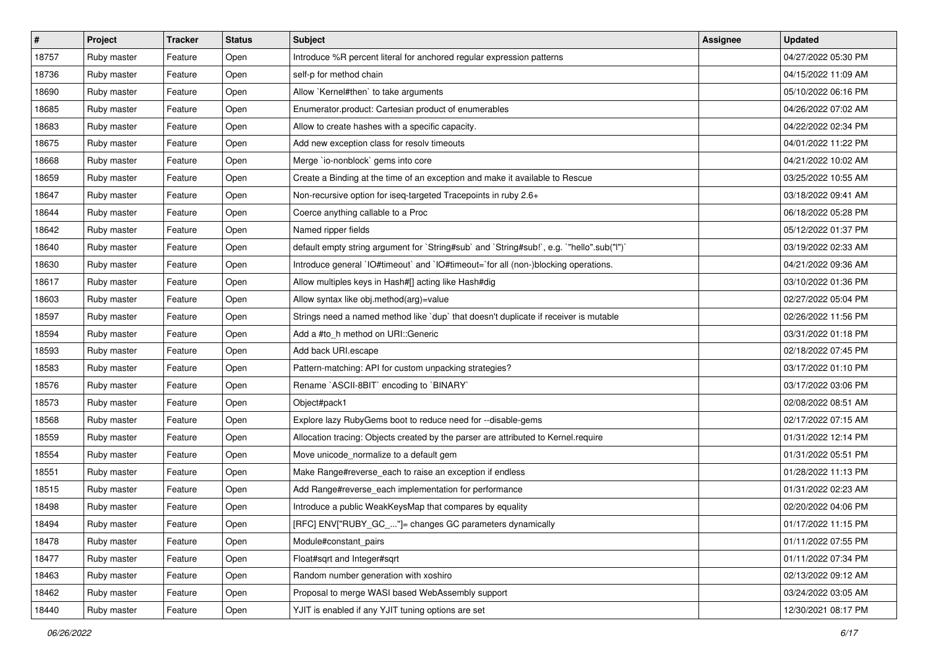| $\vert$ # | Project     | <b>Tracker</b> | <b>Status</b> | Subject                                                                                   | <b>Assignee</b> | <b>Updated</b>      |
|-----------|-------------|----------------|---------------|-------------------------------------------------------------------------------------------|-----------------|---------------------|
| 18757     | Ruby master | Feature        | Open          | Introduce %R percent literal for anchored regular expression patterns                     |                 | 04/27/2022 05:30 PM |
| 18736     | Ruby master | Feature        | Open          | self-p for method chain                                                                   |                 | 04/15/2022 11:09 AM |
| 18690     | Ruby master | Feature        | Open          | Allow `Kernel#then` to take arguments                                                     |                 | 05/10/2022 06:16 PM |
| 18685     | Ruby master | Feature        | Open          | Enumerator.product: Cartesian product of enumerables                                      |                 | 04/26/2022 07:02 AM |
| 18683     | Ruby master | Feature        | Open          | Allow to create hashes with a specific capacity.                                          |                 | 04/22/2022 02:34 PM |
| 18675     | Ruby master | Feature        | Open          | Add new exception class for resolv timeouts                                               |                 | 04/01/2022 11:22 PM |
| 18668     | Ruby master | Feature        | Open          | Merge `io-nonblock` gems into core                                                        |                 | 04/21/2022 10:02 AM |
| 18659     | Ruby master | Feature        | Open          | Create a Binding at the time of an exception and make it available to Rescue              |                 | 03/25/2022 10:55 AM |
| 18647     | Ruby master | Feature        | Open          | Non-recursive option for iseq-targeted Tracepoints in ruby 2.6+                           |                 | 03/18/2022 09:41 AM |
| 18644     | Ruby master | Feature        | Open          | Coerce anything callable to a Proc                                                        |                 | 06/18/2022 05:28 PM |
| 18642     | Ruby master | Feature        | Open          | Named ripper fields                                                                       |                 | 05/12/2022 01:37 PM |
| 18640     | Ruby master | Feature        | Open          | default empty string argument for `String#sub` and `String#sub!`, e.g. `"hello".sub("I")` |                 | 03/19/2022 02:33 AM |
| 18630     | Ruby master | Feature        | Open          | Introduce general `IO#timeout` and `IO#timeout=`for all (non-)blocking operations.        |                 | 04/21/2022 09:36 AM |
| 18617     | Ruby master | Feature        | Open          | Allow multiples keys in Hash#[] acting like Hash#dig                                      |                 | 03/10/2022 01:36 PM |
| 18603     | Ruby master | Feature        | Open          | Allow syntax like obj.method(arg)=value                                                   |                 | 02/27/2022 05:04 PM |
| 18597     | Ruby master | Feature        | Open          | Strings need a named method like `dup` that doesn't duplicate if receiver is mutable      |                 | 02/26/2022 11:56 PM |
| 18594     | Ruby master | Feature        | Open          | Add a #to h method on URI:: Generic                                                       |                 | 03/31/2022 01:18 PM |
| 18593     | Ruby master | Feature        | Open          | Add back URI.escape                                                                       |                 | 02/18/2022 07:45 PM |
| 18583     | Ruby master | Feature        | Open          | Pattern-matching: API for custom unpacking strategies?                                    |                 | 03/17/2022 01:10 PM |
| 18576     | Ruby master | Feature        | Open          | Rename `ASCII-8BIT` encoding to `BINARY`                                                  |                 | 03/17/2022 03:06 PM |
| 18573     | Ruby master | Feature        | Open          | Object#pack1                                                                              |                 | 02/08/2022 08:51 AM |
| 18568     | Ruby master | Feature        | Open          | Explore lazy RubyGems boot to reduce need for --disable-gems                              |                 | 02/17/2022 07:15 AM |
| 18559     | Ruby master | Feature        | Open          | Allocation tracing: Objects created by the parser are attributed to Kernel.require        |                 | 01/31/2022 12:14 PM |
| 18554     | Ruby master | Feature        | Open          | Move unicode_normalize to a default gem                                                   |                 | 01/31/2022 05:51 PM |
| 18551     | Ruby master | Feature        | Open          | Make Range#reverse_each to raise an exception if endless                                  |                 | 01/28/2022 11:13 PM |
| 18515     | Ruby master | Feature        | Open          | Add Range#reverse_each implementation for performance                                     |                 | 01/31/2022 02:23 AM |
| 18498     | Ruby master | Feature        | Open          | Introduce a public WeakKeysMap that compares by equality                                  |                 | 02/20/2022 04:06 PM |
| 18494     | Ruby master | Feature        | Open          | [RFC] ENV["RUBY_GC_"]= changes GC parameters dynamically                                  |                 | 01/17/2022 11:15 PM |
| 18478     | Ruby master | Feature        | Open          | Module#constant_pairs                                                                     |                 | 01/11/2022 07:55 PM |
| 18477     | Ruby master | Feature        | Open          | Float#sqrt and Integer#sqrt                                                               |                 | 01/11/2022 07:34 PM |
| 18463     | Ruby master | Feature        | Open          | Random number generation with xoshiro                                                     |                 | 02/13/2022 09:12 AM |
| 18462     | Ruby master | Feature        | Open          | Proposal to merge WASI based WebAssembly support                                          |                 | 03/24/2022 03:05 AM |
| 18440     | Ruby master | Feature        | Open          | YJIT is enabled if any YJIT tuning options are set                                        |                 | 12/30/2021 08:17 PM |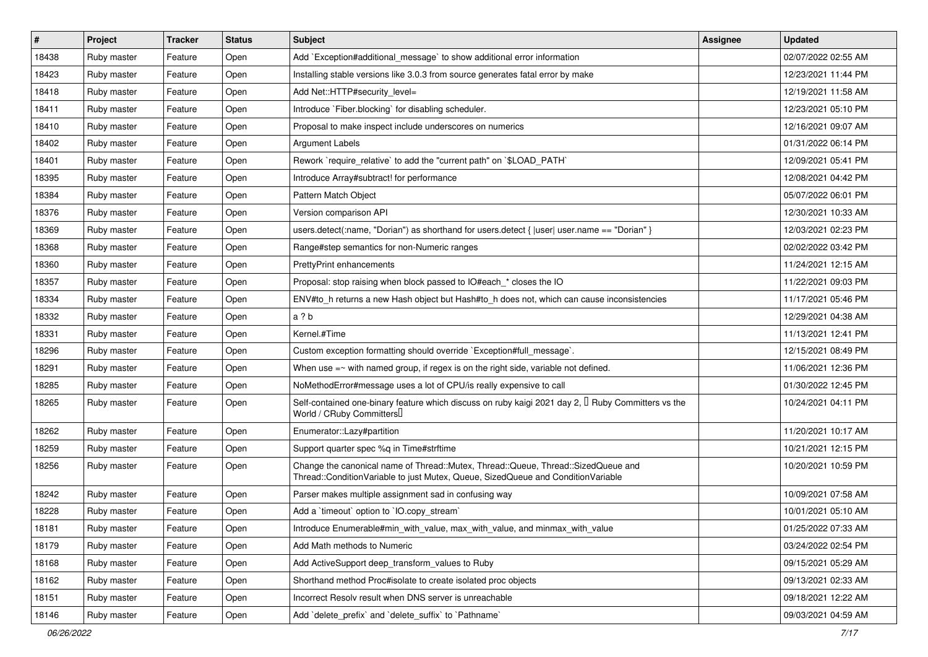| #     | Project     | <b>Tracker</b> | <b>Status</b> | Subject                                                                                                                                                               | <b>Assignee</b> | <b>Updated</b>      |
|-------|-------------|----------------|---------------|-----------------------------------------------------------------------------------------------------------------------------------------------------------------------|-----------------|---------------------|
| 18438 | Ruby master | Feature        | Open          | Add `Exception#additional_message` to show additional error information                                                                                               |                 | 02/07/2022 02:55 AM |
| 18423 | Ruby master | Feature        | Open          | Installing stable versions like 3.0.3 from source generates fatal error by make                                                                                       |                 | 12/23/2021 11:44 PM |
| 18418 | Ruby master | Feature        | Open          | Add Net::HTTP#security_level=                                                                                                                                         |                 | 12/19/2021 11:58 AM |
| 18411 | Ruby master | Feature        | Open          | Introduce `Fiber.blocking` for disabling scheduler.                                                                                                                   |                 | 12/23/2021 05:10 PM |
| 18410 | Ruby master | Feature        | Open          | Proposal to make inspect include underscores on numerics                                                                                                              |                 | 12/16/2021 09:07 AM |
| 18402 | Ruby master | Feature        | Open          | <b>Argument Labels</b>                                                                                                                                                |                 | 01/31/2022 06:14 PM |
| 18401 | Ruby master | Feature        | Open          | Rework `require_relative` to add the "current path" on `\$LOAD_PATH`                                                                                                  |                 | 12/09/2021 05:41 PM |
| 18395 | Ruby master | Feature        | Open          | Introduce Array#subtract! for performance                                                                                                                             |                 | 12/08/2021 04:42 PM |
| 18384 | Ruby master | Feature        | Open          | Pattern Match Object                                                                                                                                                  |                 | 05/07/2022 06:01 PM |
| 18376 | Ruby master | Feature        | Open          | Version comparison API                                                                                                                                                |                 | 12/30/2021 10:33 AM |
| 18369 | Ruby master | Feature        | Open          | users.detect(:name, "Dorian") as shorthand for users.detect { $ user user name == "Dorian"$ }                                                                         |                 | 12/03/2021 02:23 PM |
| 18368 | Ruby master | Feature        | Open          | Range#step semantics for non-Numeric ranges                                                                                                                           |                 | 02/02/2022 03:42 PM |
| 18360 | Ruby master | Feature        | Open          | <b>PrettyPrint enhancements</b>                                                                                                                                       |                 | 11/24/2021 12:15 AM |
| 18357 | Ruby master | Feature        | Open          | Proposal: stop raising when block passed to IO#each * closes the IO                                                                                                   |                 | 11/22/2021 09:03 PM |
| 18334 | Ruby master | Feature        | Open          | ENV#to_h returns a new Hash object but Hash#to_h does not, which can cause inconsistencies                                                                            |                 | 11/17/2021 05:46 PM |
| 18332 | Ruby master | Feature        | Open          | a ? b                                                                                                                                                                 |                 | 12/29/2021 04:38 AM |
| 18331 | Ruby master | Feature        | Open          | Kernel.#Time                                                                                                                                                          |                 | 11/13/2021 12:41 PM |
| 18296 | Ruby master | Feature        | Open          | Custom exception formatting should override `Exception#full_message`.                                                                                                 |                 | 12/15/2021 08:49 PM |
| 18291 | Ruby master | Feature        | Open          | When use $=\sim$ with named group, if regex is on the right side, variable not defined.                                                                               |                 | 11/06/2021 12:36 PM |
| 18285 | Ruby master | Feature        | Open          | NoMethodError#message uses a lot of CPU/is really expensive to call                                                                                                   |                 | 01/30/2022 12:45 PM |
| 18265 | Ruby master | Feature        | Open          | Self-contained one-binary feature which discuss on ruby kaigi 2021 day 2, $\Box$ Ruby Committers vs the<br>World / CRuby Committers                                   |                 | 10/24/2021 04:11 PM |
| 18262 | Ruby master | Feature        | Open          | Enumerator::Lazy#partition                                                                                                                                            |                 | 11/20/2021 10:17 AM |
| 18259 | Ruby master | Feature        | Open          | Support quarter spec %q in Time#strftime                                                                                                                              |                 | 10/21/2021 12:15 PM |
| 18256 | Ruby master | Feature        | Open          | Change the canonical name of Thread::Mutex, Thread::Queue, Thread::SizedQueue and<br>Thread::ConditionVariable to just Mutex, Queue, SizedQueue and ConditionVariable |                 | 10/20/2021 10:59 PM |
| 18242 | Ruby master | Feature        | Open          | Parser makes multiple assignment sad in confusing way                                                                                                                 |                 | 10/09/2021 07:58 AM |
| 18228 | Ruby master | Feature        | Open          | Add a 'timeout' option to 'IO.copy_stream'                                                                                                                            |                 | 10/01/2021 05:10 AM |
| 18181 | Ruby master | Feature        | Open          | Introduce Enumerable#min_with_value, max_with_value, and minmax_with_value                                                                                            |                 | 01/25/2022 07:33 AM |
| 18179 | Ruby master | Feature        | Open          | Add Math methods to Numeric                                                                                                                                           |                 | 03/24/2022 02:54 PM |
| 18168 | Ruby master | Feature        | Open          | Add ActiveSupport deep_transform_values to Ruby                                                                                                                       |                 | 09/15/2021 05:29 AM |
| 18162 | Ruby master | Feature        | Open          | Shorthand method Proc#isolate to create isolated proc objects                                                                                                         |                 | 09/13/2021 02:33 AM |
| 18151 | Ruby master | Feature        | Open          | Incorrect Resolv result when DNS server is unreachable                                                                                                                |                 | 09/18/2021 12:22 AM |
| 18146 | Ruby master | Feature        | Open          | Add `delete_prefix` and `delete_suffix` to `Pathname`                                                                                                                 |                 | 09/03/2021 04:59 AM |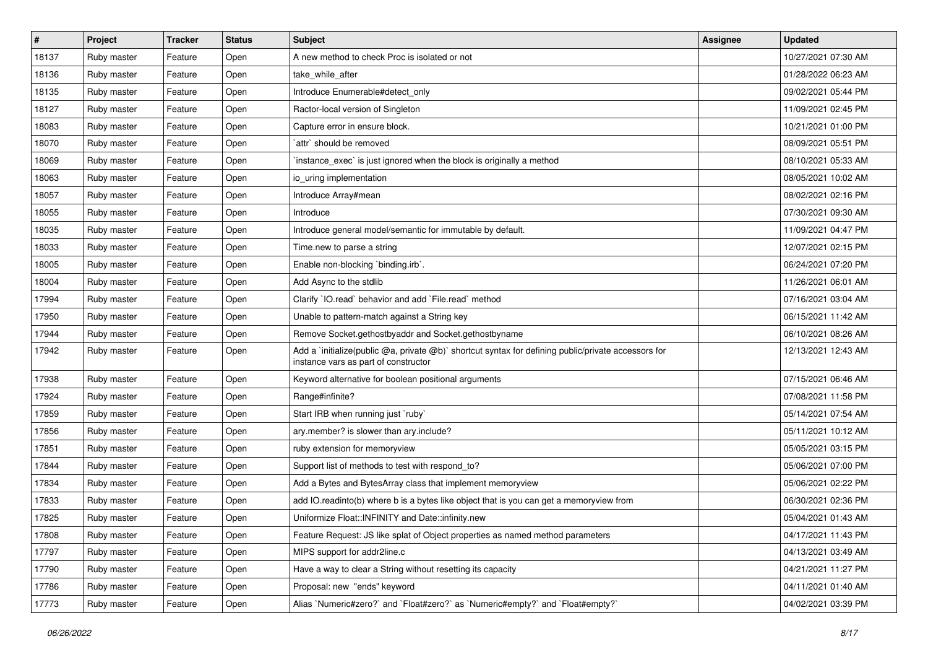| $\sharp$ | <b>Project</b> | <b>Tracker</b> | <b>Status</b> | <b>Subject</b>                                                                                                                              | Assignee | <b>Updated</b>      |
|----------|----------------|----------------|---------------|---------------------------------------------------------------------------------------------------------------------------------------------|----------|---------------------|
| 18137    | Ruby master    | Feature        | Open          | A new method to check Proc is isolated or not                                                                                               |          | 10/27/2021 07:30 AM |
| 18136    | Ruby master    | Feature        | Open          | take while after                                                                                                                            |          | 01/28/2022 06:23 AM |
| 18135    | Ruby master    | Feature        | Open          | Introduce Enumerable#detect only                                                                                                            |          | 09/02/2021 05:44 PM |
| 18127    | Ruby master    | Feature        | Open          | Ractor-local version of Singleton                                                                                                           |          | 11/09/2021 02:45 PM |
| 18083    | Ruby master    | Feature        | Open          | Capture error in ensure block.                                                                                                              |          | 10/21/2021 01:00 PM |
| 18070    | Ruby master    | Feature        | Open          | `attr` should be removed                                                                                                                    |          | 08/09/2021 05:51 PM |
| 18069    | Ruby master    | Feature        | Open          | instance_exec` is just ignored when the block is originally a method                                                                        |          | 08/10/2021 05:33 AM |
| 18063    | Ruby master    | Feature        | Open          | io_uring implementation                                                                                                                     |          | 08/05/2021 10:02 AM |
| 18057    | Ruby master    | Feature        | Open          | Introduce Array#mean                                                                                                                        |          | 08/02/2021 02:16 PM |
| 18055    | Ruby master    | Feature        | Open          | Introduce                                                                                                                                   |          | 07/30/2021 09:30 AM |
| 18035    | Ruby master    | Feature        | Open          | Introduce general model/semantic for immutable by default.                                                                                  |          | 11/09/2021 04:47 PM |
| 18033    | Ruby master    | Feature        | Open          | Time.new to parse a string                                                                                                                  |          | 12/07/2021 02:15 PM |
| 18005    | Ruby master    | Feature        | Open          | Enable non-blocking `binding.irb`.                                                                                                          |          | 06/24/2021 07:20 PM |
| 18004    | Ruby master    | Feature        | Open          | Add Async to the stdlib                                                                                                                     |          | 11/26/2021 06:01 AM |
| 17994    | Ruby master    | Feature        | Open          | Clarify 'IO.read' behavior and add 'File.read' method                                                                                       |          | 07/16/2021 03:04 AM |
| 17950    | Ruby master    | Feature        | Open          | Unable to pattern-match against a String key                                                                                                |          | 06/15/2021 11:42 AM |
| 17944    | Ruby master    | Feature        | Open          | Remove Socket.gethostbyaddr and Socket.gethostbyname                                                                                        |          | 06/10/2021 08:26 AM |
| 17942    | Ruby master    | Feature        | Open          | Add a `initialize(public @a, private @b)` shortcut syntax for defining public/private accessors for<br>instance vars as part of constructor |          | 12/13/2021 12:43 AM |
| 17938    | Ruby master    | Feature        | Open          | Keyword alternative for boolean positional arguments                                                                                        |          | 07/15/2021 06:46 AM |
| 17924    | Ruby master    | Feature        | Open          | Range#infinite?                                                                                                                             |          | 07/08/2021 11:58 PM |
| 17859    | Ruby master    | Feature        | Open          | Start IRB when running just `ruby`                                                                                                          |          | 05/14/2021 07:54 AM |
| 17856    | Ruby master    | Feature        | Open          | ary.member? is slower than ary.include?                                                                                                     |          | 05/11/2021 10:12 AM |
| 17851    | Ruby master    | Feature        | Open          | ruby extension for memoryview                                                                                                               |          | 05/05/2021 03:15 PM |
| 17844    | Ruby master    | Feature        | Open          | Support list of methods to test with respond_to?                                                                                            |          | 05/06/2021 07:00 PM |
| 17834    | Ruby master    | Feature        | Open          | Add a Bytes and BytesArray class that implement memoryview                                                                                  |          | 05/06/2021 02:22 PM |
| 17833    | Ruby master    | Feature        | Open          | add IO.readinto(b) where b is a bytes like object that is you can get a memoryview from                                                     |          | 06/30/2021 02:36 PM |
| 17825    | Ruby master    | Feature        | Open          | Uniformize Float::INFINITY and Date::infinity.new                                                                                           |          | 05/04/2021 01:43 AM |
| 17808    | Ruby master    | Feature        | Open          | Feature Request: JS like splat of Object properties as named method parameters                                                              |          | 04/17/2021 11:43 PM |
| 17797    | Ruby master    | Feature        | Open          | MIPS support for addr2line.c                                                                                                                |          | 04/13/2021 03:49 AM |
| 17790    | Ruby master    | Feature        | Open          | Have a way to clear a String without resetting its capacity                                                                                 |          | 04/21/2021 11:27 PM |
| 17786    | Ruby master    | Feature        | Open          | Proposal: new "ends" keyword                                                                                                                |          | 04/11/2021 01:40 AM |
| 17773    | Ruby master    | Feature        | Open          | Alias `Numeric#zero?` and `Float#zero?` as `Numeric#empty?` and `Float#empty?`                                                              |          | 04/02/2021 03:39 PM |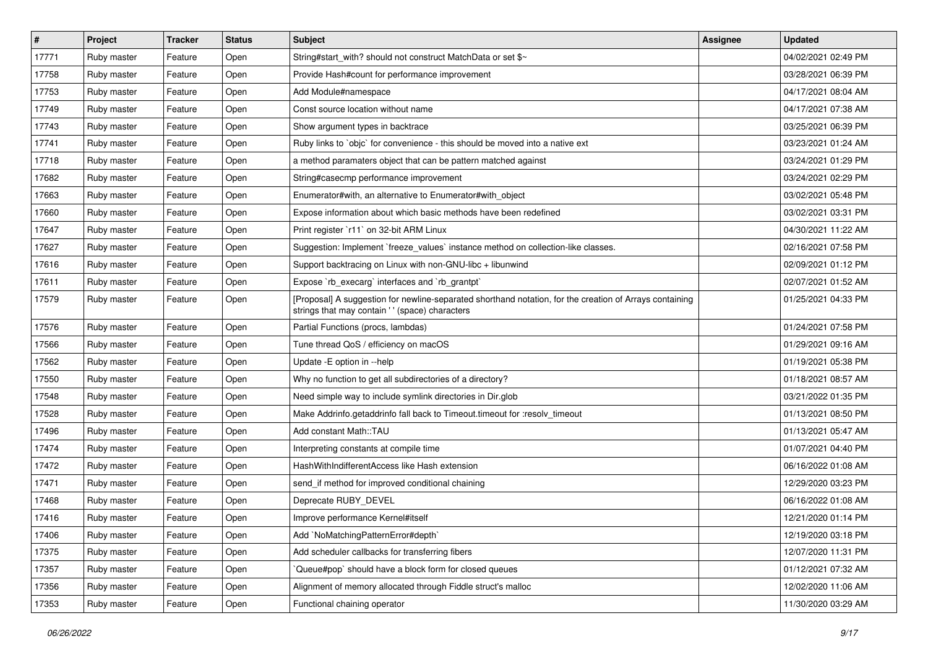| $\vert$ # | Project     | <b>Tracker</b> | <b>Status</b> | <b>Subject</b>                                                                                                                                             | Assignee | <b>Updated</b>      |
|-----------|-------------|----------------|---------------|------------------------------------------------------------------------------------------------------------------------------------------------------------|----------|---------------------|
| 17771     | Ruby master | Feature        | Open          | String#start_with? should not construct MatchData or set \$~                                                                                               |          | 04/02/2021 02:49 PM |
| 17758     | Ruby master | Feature        | Open          | Provide Hash#count for performance improvement                                                                                                             |          | 03/28/2021 06:39 PM |
| 17753     | Ruby master | Feature        | Open          | Add Module#namespace                                                                                                                                       |          | 04/17/2021 08:04 AM |
| 17749     | Ruby master | Feature        | Open          | Const source location without name                                                                                                                         |          | 04/17/2021 07:38 AM |
| 17743     | Ruby master | Feature        | Open          | Show argument types in backtrace                                                                                                                           |          | 03/25/2021 06:39 PM |
| 17741     | Ruby master | Feature        | Open          | Ruby links to `objc` for convenience - this should be moved into a native ext                                                                              |          | 03/23/2021 01:24 AM |
| 17718     | Ruby master | Feature        | Open          | a method paramaters object that can be pattern matched against                                                                                             |          | 03/24/2021 01:29 PM |
| 17682     | Ruby master | Feature        | Open          | String#casecmp performance improvement                                                                                                                     |          | 03/24/2021 02:29 PM |
| 17663     | Ruby master | Feature        | Open          | Enumerator#with, an alternative to Enumerator#with object                                                                                                  |          | 03/02/2021 05:48 PM |
| 17660     | Ruby master | Feature        | Open          | Expose information about which basic methods have been redefined                                                                                           |          | 03/02/2021 03:31 PM |
| 17647     | Ruby master | Feature        | Open          | Print register `r11` on 32-bit ARM Linux                                                                                                                   |          | 04/30/2021 11:22 AM |
| 17627     | Ruby master | Feature        | Open          | Suggestion: Implement `freeze_values` instance method on collection-like classes.                                                                          |          | 02/16/2021 07:58 PM |
| 17616     | Ruby master | Feature        | Open          | Support backtracing on Linux with non-GNU-libc + libunwind                                                                                                 |          | 02/09/2021 01:12 PM |
| 17611     | Ruby master | Feature        | Open          | Expose `rb_execarg` interfaces and `rb_grantpt`                                                                                                            |          | 02/07/2021 01:52 AM |
| 17579     | Ruby master | Feature        | Open          | [Proposal] A suggestion for newline-separated shorthand notation, for the creation of Arrays containing<br>strings that may contain ' ' (space) characters |          | 01/25/2021 04:33 PM |
| 17576     | Ruby master | Feature        | Open          | Partial Functions (procs, lambdas)                                                                                                                         |          | 01/24/2021 07:58 PM |
| 17566     | Ruby master | Feature        | Open          | Tune thread QoS / efficiency on macOS                                                                                                                      |          | 01/29/2021 09:16 AM |
| 17562     | Ruby master | Feature        | Open          | Update - E option in --help                                                                                                                                |          | 01/19/2021 05:38 PM |
| 17550     | Ruby master | Feature        | Open          | Why no function to get all subdirectories of a directory?                                                                                                  |          | 01/18/2021 08:57 AM |
| 17548     | Ruby master | Feature        | Open          | Need simple way to include symlink directories in Dir.glob                                                                                                 |          | 03/21/2022 01:35 PM |
| 17528     | Ruby master | Feature        | Open          | Make Addrinfo.getaddrinfo fall back to Timeout.timeout for :resolv_timeout                                                                                 |          | 01/13/2021 08:50 PM |
| 17496     | Ruby master | Feature        | Open          | Add constant Math::TAU                                                                                                                                     |          | 01/13/2021 05:47 AM |
| 17474     | Ruby master | Feature        | Open          | Interpreting constants at compile time                                                                                                                     |          | 01/07/2021 04:40 PM |
| 17472     | Ruby master | Feature        | Open          | HashWithIndifferentAccess like Hash extension                                                                                                              |          | 06/16/2022 01:08 AM |
| 17471     | Ruby master | Feature        | Open          | send_if method for improved conditional chaining                                                                                                           |          | 12/29/2020 03:23 PM |
| 17468     | Ruby master | Feature        | Open          | Deprecate RUBY DEVEL                                                                                                                                       |          | 06/16/2022 01:08 AM |
| 17416     | Ruby master | Feature        | Open          | Improve performance Kernel#itself                                                                                                                          |          | 12/21/2020 01:14 PM |
| 17406     | Ruby master | Feature        | Open          | Add `NoMatchingPatternError#depth`                                                                                                                         |          | 12/19/2020 03:18 PM |
| 17375     | Ruby master | Feature        | Open          | Add scheduler callbacks for transferring fibers                                                                                                            |          | 12/07/2020 11:31 PM |
| 17357     | Ruby master | Feature        | Open          | Queue#pop`should have a block form for closed queues                                                                                                       |          | 01/12/2021 07:32 AM |
| 17356     | Ruby master | Feature        | Open          | Alignment of memory allocated through Fiddle struct's malloc                                                                                               |          | 12/02/2020 11:06 AM |
| 17353     | Ruby master | Feature        | Open          | Functional chaining operator                                                                                                                               |          | 11/30/2020 03:29 AM |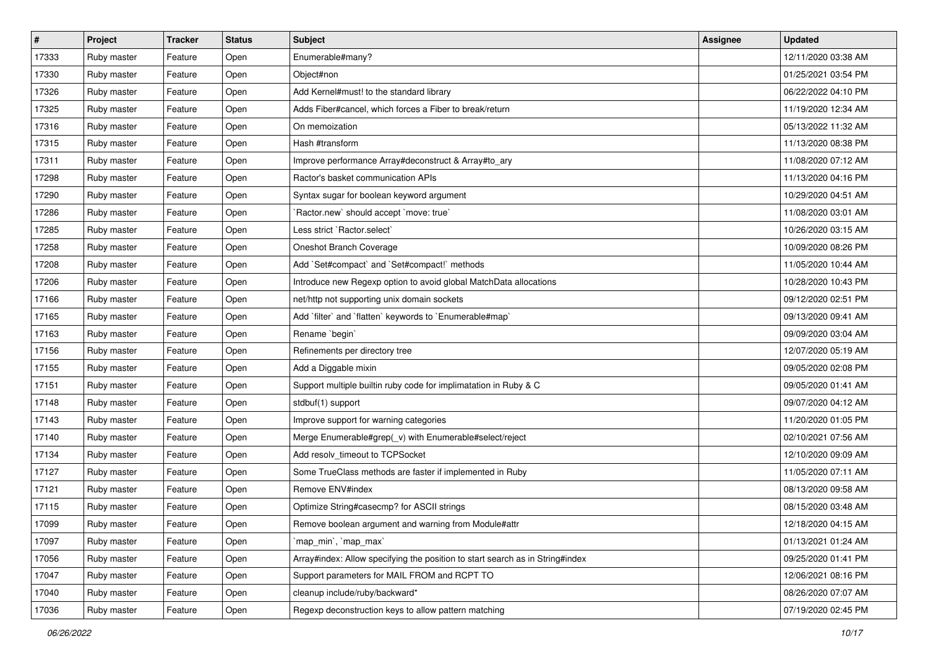| $\vert$ # | Project     | <b>Tracker</b> | <b>Status</b> | Subject                                                                       | <b>Assignee</b> | <b>Updated</b>      |
|-----------|-------------|----------------|---------------|-------------------------------------------------------------------------------|-----------------|---------------------|
| 17333     | Ruby master | Feature        | Open          | Enumerable#many?                                                              |                 | 12/11/2020 03:38 AM |
| 17330     | Ruby master | Feature        | Open          | Object#non                                                                    |                 | 01/25/2021 03:54 PM |
| 17326     | Ruby master | Feature        | Open          | Add Kernel#must! to the standard library                                      |                 | 06/22/2022 04:10 PM |
| 17325     | Ruby master | Feature        | Open          | Adds Fiber#cancel, which forces a Fiber to break/return                       |                 | 11/19/2020 12:34 AM |
| 17316     | Ruby master | Feature        | Open          | On memoization                                                                |                 | 05/13/2022 11:32 AM |
| 17315     | Ruby master | Feature        | Open          | Hash #transform                                                               |                 | 11/13/2020 08:38 PM |
| 17311     | Ruby master | Feature        | Open          | Improve performance Array#deconstruct & Array#to_ary                          |                 | 11/08/2020 07:12 AM |
| 17298     | Ruby master | Feature        | Open          | Ractor's basket communication APIs                                            |                 | 11/13/2020 04:16 PM |
| 17290     | Ruby master | Feature        | Open          | Syntax sugar for boolean keyword argument                                     |                 | 10/29/2020 04:51 AM |
| 17286     | Ruby master | Feature        | Open          | `Ractor.new` should accept `move: true`                                       |                 | 11/08/2020 03:01 AM |
| 17285     | Ruby master | Feature        | Open          | Less strict `Ractor.select`                                                   |                 | 10/26/2020 03:15 AM |
| 17258     | Ruby master | Feature        | Open          | Oneshot Branch Coverage                                                       |                 | 10/09/2020 08:26 PM |
| 17208     | Ruby master | Feature        | Open          | Add `Set#compact` and `Set#compact!` methods                                  |                 | 11/05/2020 10:44 AM |
| 17206     | Ruby master | Feature        | Open          | Introduce new Regexp option to avoid global MatchData allocations             |                 | 10/28/2020 10:43 PM |
| 17166     | Ruby master | Feature        | Open          | net/http not supporting unix domain sockets                                   |                 | 09/12/2020 02:51 PM |
| 17165     | Ruby master | Feature        | Open          | Add `filter` and `flatten` keywords to `Enumerable#map`                       |                 | 09/13/2020 09:41 AM |
| 17163     | Ruby master | Feature        | Open          | Rename `begin`                                                                |                 | 09/09/2020 03:04 AM |
| 17156     | Ruby master | Feature        | Open          | Refinements per directory tree                                                |                 | 12/07/2020 05:19 AM |
| 17155     | Ruby master | Feature        | Open          | Add a Diggable mixin                                                          |                 | 09/05/2020 02:08 PM |
| 17151     | Ruby master | Feature        | Open          | Support multiple builtin ruby code for implimatation in Ruby & C              |                 | 09/05/2020 01:41 AM |
| 17148     | Ruby master | Feature        | Open          | stdbuf(1) support                                                             |                 | 09/07/2020 04:12 AM |
| 17143     | Ruby master | Feature        | Open          | Improve support for warning categories                                        |                 | 11/20/2020 01:05 PM |
| 17140     | Ruby master | Feature        | Open          | Merge Enumerable#grep(_v) with Enumerable#select/reject                       |                 | 02/10/2021 07:56 AM |
| 17134     | Ruby master | Feature        | Open          | Add resolv_timeout to TCPSocket                                               |                 | 12/10/2020 09:09 AM |
| 17127     | Ruby master | Feature        | Open          | Some TrueClass methods are faster if implemented in Ruby                      |                 | 11/05/2020 07:11 AM |
| 17121     | Ruby master | Feature        | Open          | Remove ENV#index                                                              |                 | 08/13/2020 09:58 AM |
| 17115     | Ruby master | Feature        | Open          | Optimize String#casecmp? for ASCII strings                                    |                 | 08/15/2020 03:48 AM |
| 17099     | Ruby master | Feature        | Open          | Remove boolean argument and warning from Module#attr                          |                 | 12/18/2020 04:15 AM |
| 17097     | Ruby master | Feature        | Open          | `map_min`, `map_max`                                                          |                 | 01/13/2021 01:24 AM |
| 17056     | Ruby master | Feature        | Open          | Array#index: Allow specifying the position to start search as in String#index |                 | 09/25/2020 01:41 PM |
| 17047     | Ruby master | Feature        | Open          | Support parameters for MAIL FROM and RCPT TO                                  |                 | 12/06/2021 08:16 PM |
| 17040     | Ruby master | Feature        | Open          | cleanup include/ruby/backward*                                                |                 | 08/26/2020 07:07 AM |
| 17036     | Ruby master | Feature        | Open          | Regexp deconstruction keys to allow pattern matching                          |                 | 07/19/2020 02:45 PM |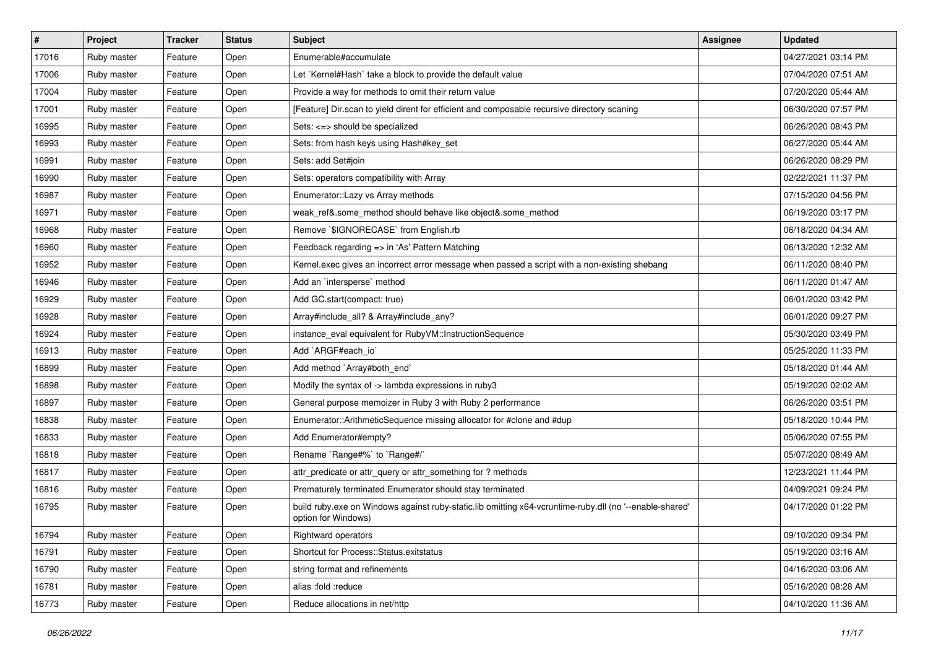| $\vert$ # | Project     | <b>Tracker</b> | <b>Status</b> | <b>Subject</b>                                                                                                                 | <b>Assignee</b> | <b>Updated</b>      |
|-----------|-------------|----------------|---------------|--------------------------------------------------------------------------------------------------------------------------------|-----------------|---------------------|
| 17016     | Ruby master | Feature        | Open          | Enumerable#accumulate                                                                                                          |                 | 04/27/2021 03:14 PM |
| 17006     | Ruby master | Feature        | Open          | Let `Kernel#Hash` take a block to provide the default value                                                                    |                 | 07/04/2020 07:51 AM |
| 17004     | Ruby master | Feature        | Open          | Provide a way for methods to omit their return value                                                                           |                 | 07/20/2020 05:44 AM |
| 17001     | Ruby master | Feature        | Open          | [Feature] Dir.scan to yield dirent for efficient and composable recursive directory scaning                                    |                 | 06/30/2020 07:57 PM |
| 16995     | Ruby master | Feature        | Open          | Sets: <=> should be specialized                                                                                                |                 | 06/26/2020 08:43 PM |
| 16993     | Ruby master | Feature        | Open          | Sets: from hash keys using Hash#key_set                                                                                        |                 | 06/27/2020 05:44 AM |
| 16991     | Ruby master | Feature        | Open          | Sets: add Set#join                                                                                                             |                 | 06/26/2020 08:29 PM |
| 16990     | Ruby master | Feature        | Open          | Sets: operators compatibility with Array                                                                                       |                 | 02/22/2021 11:37 PM |
| 16987     | Ruby master | Feature        | Open          | Enumerator::Lazy vs Array methods                                                                                              |                 | 07/15/2020 04:56 PM |
| 16971     | Ruby master | Feature        | Open          | weak_ref&.some_method should behave like object&.some_method                                                                   |                 | 06/19/2020 03:17 PM |
| 16968     | Ruby master | Feature        | Open          | Remove `\$IGNORECASE` from English.rb                                                                                          |                 | 06/18/2020 04:34 AM |
| 16960     | Ruby master | Feature        | Open          | Feedback regarding => in 'As' Pattern Matching                                                                                 |                 | 06/13/2020 12:32 AM |
| 16952     | Ruby master | Feature        | Open          | Kernel.exec gives an incorrect error message when passed a script with a non-existing shebang                                  |                 | 06/11/2020 08:40 PM |
| 16946     | Ruby master | Feature        | Open          | Add an `intersperse` method                                                                                                    |                 | 06/11/2020 01:47 AM |
| 16929     | Ruby master | Feature        | Open          | Add GC.start(compact: true)                                                                                                    |                 | 06/01/2020 03:42 PM |
| 16928     | Ruby master | Feature        | Open          | Array#include all? & Array#include any?                                                                                        |                 | 06/01/2020 09:27 PM |
| 16924     | Ruby master | Feature        | Open          | instance_eval equivalent for RubyVM::InstructionSequence                                                                       |                 | 05/30/2020 03:49 PM |
| 16913     | Ruby master | Feature        | Open          | Add `ARGF#each_io`                                                                                                             |                 | 05/25/2020 11:33 PM |
| 16899     | Ruby master | Feature        | Open          | Add method `Array#both_end`                                                                                                    |                 | 05/18/2020 01:44 AM |
| 16898     | Ruby master | Feature        | Open          | Modify the syntax of -> lambda expressions in ruby3                                                                            |                 | 05/19/2020 02:02 AM |
| 16897     | Ruby master | Feature        | Open          | General purpose memoizer in Ruby 3 with Ruby 2 performance                                                                     |                 | 06/26/2020 03:51 PM |
| 16838     | Ruby master | Feature        | Open          | Enumerator::ArithmeticSequence missing allocator for #clone and #dup                                                           |                 | 05/18/2020 10:44 PM |
| 16833     | Ruby master | Feature        | Open          | Add Enumerator#empty?                                                                                                          |                 | 05/06/2020 07:55 PM |
| 16818     | Ruby master | Feature        | Open          | Rename `Range#%` to `Range#/`                                                                                                  |                 | 05/07/2020 08:49 AM |
| 16817     | Ruby master | Feature        | Open          | attr_predicate or attr_query or attr_something for ? methods                                                                   |                 | 12/23/2021 11:44 PM |
| 16816     | Ruby master | Feature        | Open          | Prematurely terminated Enumerator should stay terminated                                                                       |                 | 04/09/2021 09:24 PM |
| 16795     | Ruby master | Feature        | Open          | build ruby exe on Windows against ruby-static lib omitting x64-vcruntime-ruby dll (no '--enable-shared'<br>option for Windows) |                 | 04/17/2020 01:22 PM |
| 16794     | Ruby master | Feature        | Open          | Rightward operators                                                                                                            |                 | 09/10/2020 09:34 PM |
| 16791     | Ruby master | Feature        | Open          | Shortcut for Process::Status.exitstatus                                                                                        |                 | 05/19/2020 03:16 AM |
| 16790     | Ruby master | Feature        | Open          | string format and refinements                                                                                                  |                 | 04/16/2020 03:06 AM |
| 16781     | Ruby master | Feature        | Open          | alias :fold :reduce                                                                                                            |                 | 05/16/2020 08:28 AM |
| 16773     | Ruby master | Feature        | Open          | Reduce allocations in net/http                                                                                                 |                 | 04/10/2020 11:36 AM |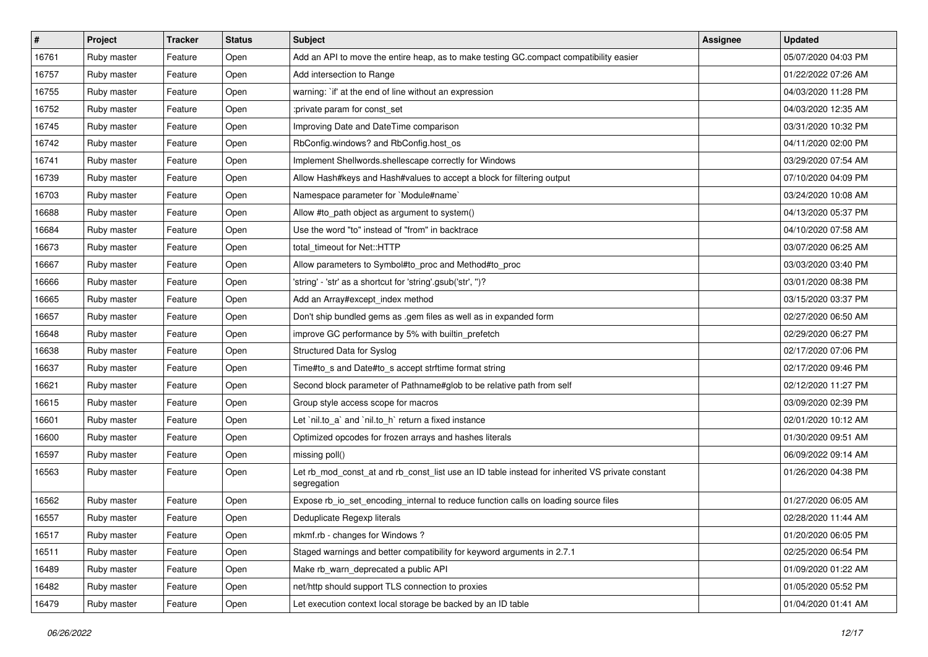| #     | Project     | <b>Tracker</b> | <b>Status</b> | Subject                                                                                                        | <b>Assignee</b> | <b>Updated</b>      |
|-------|-------------|----------------|---------------|----------------------------------------------------------------------------------------------------------------|-----------------|---------------------|
| 16761 | Ruby master | Feature        | Open          | Add an API to move the entire heap, as to make testing GC.compact compatibility easier                         |                 | 05/07/2020 04:03 PM |
| 16757 | Ruby master | Feature        | Open          | Add intersection to Range                                                                                      |                 | 01/22/2022 07:26 AM |
| 16755 | Ruby master | Feature        | Open          | warning: `if' at the end of line without an expression                                                         |                 | 04/03/2020 11:28 PM |
| 16752 | Ruby master | Feature        | Open          | :private param for const_set                                                                                   |                 | 04/03/2020 12:35 AM |
| 16745 | Ruby master | Feature        | Open          | Improving Date and DateTime comparison                                                                         |                 | 03/31/2020 10:32 PM |
| 16742 | Ruby master | Feature        | Open          | RbConfig.windows? and RbConfig.host os                                                                         |                 | 04/11/2020 02:00 PM |
| 16741 | Ruby master | Feature        | Open          | Implement Shellwords.shellescape correctly for Windows                                                         |                 | 03/29/2020 07:54 AM |
| 16739 | Ruby master | Feature        | Open          | Allow Hash#keys and Hash#values to accept a block for filtering output                                         |                 | 07/10/2020 04:09 PM |
| 16703 | Ruby master | Feature        | Open          | Namespace parameter for `Module#name`                                                                          |                 | 03/24/2020 10:08 AM |
| 16688 | Ruby master | Feature        | Open          | Allow #to_path object as argument to system()                                                                  |                 | 04/13/2020 05:37 PM |
| 16684 | Ruby master | Feature        | Open          | Use the word "to" instead of "from" in backtrace                                                               |                 | 04/10/2020 07:58 AM |
| 16673 | Ruby master | Feature        | Open          | total timeout for Net::HTTP                                                                                    |                 | 03/07/2020 06:25 AM |
| 16667 | Ruby master | Feature        | Open          | Allow parameters to Symbol#to_proc and Method#to_proc                                                          |                 | 03/03/2020 03:40 PM |
| 16666 | Ruby master | Feature        | Open          | 'string' - 'str' as a shortcut for 'string'.gsub('str', ")?                                                    |                 | 03/01/2020 08:38 PM |
| 16665 | Ruby master | Feature        | Open          | Add an Array#except_index method                                                                               |                 | 03/15/2020 03:37 PM |
| 16657 | Ruby master | Feature        | Open          | Don't ship bundled gems as .gem files as well as in expanded form                                              |                 | 02/27/2020 06:50 AM |
| 16648 | Ruby master | Feature        | Open          | improve GC performance by 5% with builtin_prefetch                                                             |                 | 02/29/2020 06:27 PM |
| 16638 | Ruby master | Feature        | Open          | Structured Data for Syslog                                                                                     |                 | 02/17/2020 07:06 PM |
| 16637 | Ruby master | Feature        | Open          | Time#to_s and Date#to_s accept strftime format string                                                          |                 | 02/17/2020 09:46 PM |
| 16621 | Ruby master | Feature        | Open          | Second block parameter of Pathname#glob to be relative path from self                                          |                 | 02/12/2020 11:27 PM |
| 16615 | Ruby master | Feature        | Open          | Group style access scope for macros                                                                            |                 | 03/09/2020 02:39 PM |
| 16601 | Ruby master | Feature        | Open          | Let `nil.to_a` and `nil.to_h` return a fixed instance                                                          |                 | 02/01/2020 10:12 AM |
| 16600 | Ruby master | Feature        | Open          | Optimized opcodes for frozen arrays and hashes literals                                                        |                 | 01/30/2020 09:51 AM |
| 16597 | Ruby master | Feature        | Open          | missing poll()                                                                                                 |                 | 06/09/2022 09:14 AM |
| 16563 | Ruby master | Feature        | Open          | Let rb_mod_const_at and rb_const_list use an ID table instead for inherited VS private constant<br>segregation |                 | 01/26/2020 04:38 PM |
| 16562 | Ruby master | Feature        | Open          | Expose rb_io_set_encoding_internal to reduce function calls on loading source files                            |                 | 01/27/2020 06:05 AM |
| 16557 | Ruby master | Feature        | Open          | Deduplicate Regexp literals                                                                                    |                 | 02/28/2020 11:44 AM |
| 16517 | Ruby master | Feature        | Open          | mkmf.rb - changes for Windows?                                                                                 |                 | 01/20/2020 06:05 PM |
| 16511 | Ruby master | Feature        | Open          | Staged warnings and better compatibility for keyword arguments in 2.7.1                                        |                 | 02/25/2020 06:54 PM |
| 16489 | Ruby master | Feature        | Open          | Make rb_warn_deprecated a public API                                                                           |                 | 01/09/2020 01:22 AM |
| 16482 | Ruby master | Feature        | Open          | net/http should support TLS connection to proxies                                                              |                 | 01/05/2020 05:52 PM |
| 16479 | Ruby master | Feature        | Open          | Let execution context local storage be backed by an ID table                                                   |                 | 01/04/2020 01:41 AM |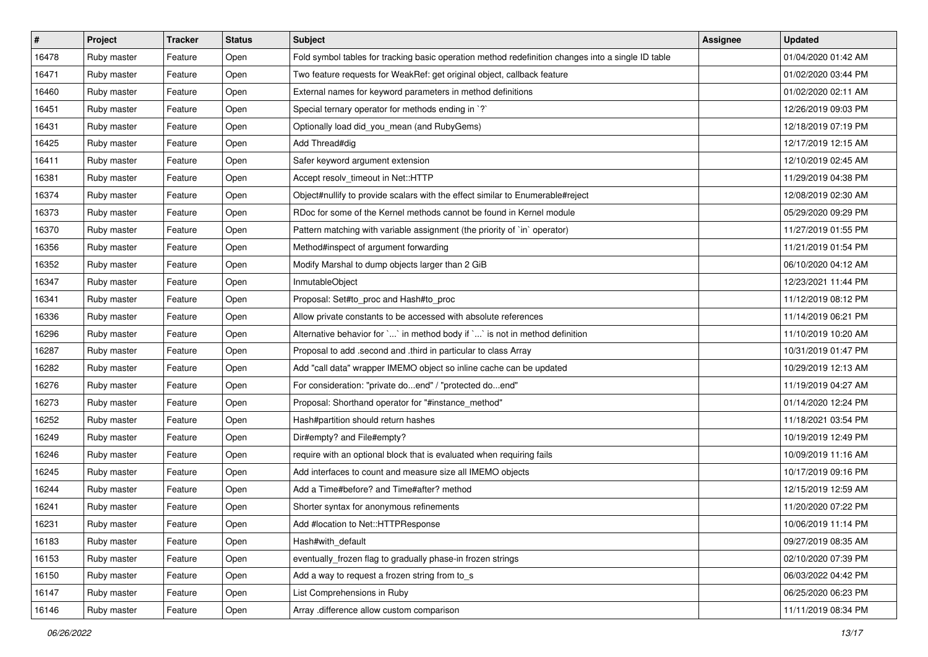| $\vert$ # | Project     | <b>Tracker</b> | <b>Status</b> | <b>Subject</b>                                                                                     | <b>Assignee</b> | <b>Updated</b>      |
|-----------|-------------|----------------|---------------|----------------------------------------------------------------------------------------------------|-----------------|---------------------|
| 16478     | Ruby master | Feature        | Open          | Fold symbol tables for tracking basic operation method redefinition changes into a single ID table |                 | 01/04/2020 01:42 AM |
| 16471     | Ruby master | Feature        | Open          | Two feature requests for WeakRef: get original object, callback feature                            |                 | 01/02/2020 03:44 PM |
| 16460     | Ruby master | Feature        | Open          | External names for keyword parameters in method definitions                                        |                 | 01/02/2020 02:11 AM |
| 16451     | Ruby master | Feature        | Open          | Special ternary operator for methods ending in `?`                                                 |                 | 12/26/2019 09:03 PM |
| 16431     | Ruby master | Feature        | Open          | Optionally load did_you_mean (and RubyGems)                                                        |                 | 12/18/2019 07:19 PM |
| 16425     | Ruby master | Feature        | Open          | Add Thread#dig                                                                                     |                 | 12/17/2019 12:15 AM |
| 16411     | Ruby master | Feature        | Open          | Safer keyword argument extension                                                                   |                 | 12/10/2019 02:45 AM |
| 16381     | Ruby master | Feature        | Open          | Accept resolv timeout in Net::HTTP                                                                 |                 | 11/29/2019 04:38 PM |
| 16374     | Ruby master | Feature        | Open          | Object#nullify to provide scalars with the effect similar to Enumerable#reject                     |                 | 12/08/2019 02:30 AM |
| 16373     | Ruby master | Feature        | Open          | RDoc for some of the Kernel methods cannot be found in Kernel module                               |                 | 05/29/2020 09:29 PM |
| 16370     | Ruby master | Feature        | Open          | Pattern matching with variable assignment (the priority of `in` operator)                          |                 | 11/27/2019 01:55 PM |
| 16356     | Ruby master | Feature        | Open          | Method#inspect of argument forwarding                                                              |                 | 11/21/2019 01:54 PM |
| 16352     | Ruby master | Feature        | Open          | Modify Marshal to dump objects larger than 2 GiB                                                   |                 | 06/10/2020 04:12 AM |
| 16347     | Ruby master | Feature        | Open          | InmutableObject                                                                                    |                 | 12/23/2021 11:44 PM |
| 16341     | Ruby master | Feature        | Open          | Proposal: Set#to_proc and Hash#to_proc                                                             |                 | 11/12/2019 08:12 PM |
| 16336     | Ruby master | Feature        | Open          | Allow private constants to be accessed with absolute references                                    |                 | 11/14/2019 06:21 PM |
| 16296     | Ruby master | Feature        | Open          | Alternative behavior for `` in method body if `` is not in method definition                       |                 | 11/10/2019 10:20 AM |
| 16287     | Ruby master | Feature        | Open          | Proposal to add .second and .third in particular to class Array                                    |                 | 10/31/2019 01:47 PM |
| 16282     | Ruby master | Feature        | Open          | Add "call data" wrapper IMEMO object so inline cache can be updated                                |                 | 10/29/2019 12:13 AM |
| 16276     | Ruby master | Feature        | Open          | For consideration: "private doend" / "protected doend"                                             |                 | 11/19/2019 04:27 AM |
| 16273     | Ruby master | Feature        | Open          | Proposal: Shorthand operator for "#instance_method"                                                |                 | 01/14/2020 12:24 PM |
| 16252     | Ruby master | Feature        | Open          | Hash#partition should return hashes                                                                |                 | 11/18/2021 03:54 PM |
| 16249     | Ruby master | Feature        | Open          | Dir#empty? and File#empty?                                                                         |                 | 10/19/2019 12:49 PM |
| 16246     | Ruby master | Feature        | Open          | require with an optional block that is evaluated when requiring fails                              |                 | 10/09/2019 11:16 AM |
| 16245     | Ruby master | Feature        | Open          | Add interfaces to count and measure size all IMEMO objects                                         |                 | 10/17/2019 09:16 PM |
| 16244     | Ruby master | Feature        | Open          | Add a Time#before? and Time#after? method                                                          |                 | 12/15/2019 12:59 AM |
| 16241     | Ruby master | Feature        | Open          | Shorter syntax for anonymous refinements                                                           |                 | 11/20/2020 07:22 PM |
| 16231     | Ruby master | Feature        | Open          | Add #location to Net::HTTPResponse                                                                 |                 | 10/06/2019 11:14 PM |
| 16183     | Ruby master | Feature        | Open          | Hash#with default                                                                                  |                 | 09/27/2019 08:35 AM |
| 16153     | Ruby master | Feature        | Open          | eventually_frozen flag to gradually phase-in frozen strings                                        |                 | 02/10/2020 07:39 PM |
| 16150     | Ruby master | Feature        | Open          | Add a way to request a frozen string from to_s                                                     |                 | 06/03/2022 04:42 PM |
| 16147     | Ruby master | Feature        | Open          | List Comprehensions in Ruby                                                                        |                 | 06/25/2020 06:23 PM |
| 16146     | Ruby master | Feature        | Open          | Array .difference allow custom comparison                                                          |                 | 11/11/2019 08:34 PM |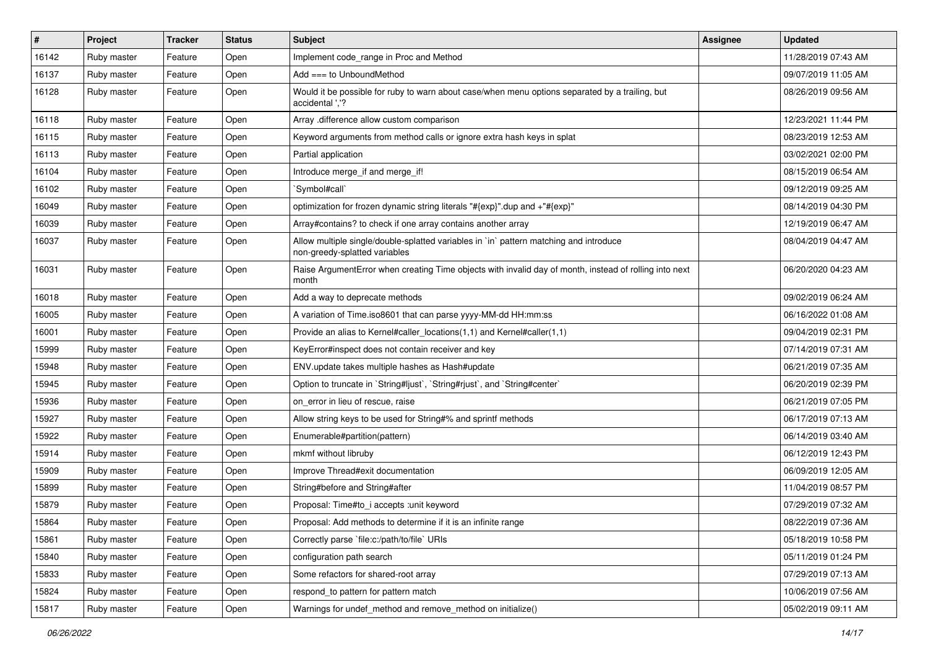| $\sharp$ | Project     | <b>Tracker</b> | <b>Status</b> | <b>Subject</b>                                                                                                          | <b>Assignee</b> | <b>Updated</b>      |
|----------|-------------|----------------|---------------|-------------------------------------------------------------------------------------------------------------------------|-----------------|---------------------|
| 16142    | Ruby master | Feature        | Open          | Implement code_range in Proc and Method                                                                                 |                 | 11/28/2019 07:43 AM |
| 16137    | Ruby master | Feature        | Open          | Add === to UnboundMethod                                                                                                |                 | 09/07/2019 11:05 AM |
| 16128    | Ruby master | Feature        | Open          | Would it be possible for ruby to warn about case/when menu options separated by a trailing, but<br>accidental '.'?      |                 | 08/26/2019 09:56 AM |
| 16118    | Ruby master | Feature        | Open          | Array .difference allow custom comparison                                                                               |                 | 12/23/2021 11:44 PM |
| 16115    | Ruby master | Feature        | Open          | Keyword arguments from method calls or ignore extra hash keys in splat                                                  |                 | 08/23/2019 12:53 AM |
| 16113    | Ruby master | Feature        | Open          | Partial application                                                                                                     |                 | 03/02/2021 02:00 PM |
| 16104    | Ruby master | Feature        | Open          | Introduce merge_if and merge_if!                                                                                        |                 | 08/15/2019 06:54 AM |
| 16102    | Ruby master | Feature        | Open          | `Symbol#call`                                                                                                           |                 | 09/12/2019 09:25 AM |
| 16049    | Ruby master | Feature        | Open          | optimization for frozen dynamic string literals "#{exp}".dup and +"#{exp}"                                              |                 | 08/14/2019 04:30 PM |
| 16039    | Ruby master | Feature        | Open          | Array#contains? to check if one array contains another array                                                            |                 | 12/19/2019 06:47 AM |
| 16037    | Ruby master | Feature        | Open          | Allow multiple single/double-splatted variables in `in` pattern matching and introduce<br>non-greedy-splatted variables |                 | 08/04/2019 04:47 AM |
| 16031    | Ruby master | Feature        | Open          | Raise ArgumentError when creating Time objects with invalid day of month, instead of rolling into next<br>month         |                 | 06/20/2020 04:23 AM |
| 16018    | Ruby master | Feature        | Open          | Add a way to deprecate methods                                                                                          |                 | 09/02/2019 06:24 AM |
| 16005    | Ruby master | Feature        | Open          | A variation of Time.iso8601 that can parse yyyy-MM-dd HH:mm:ss                                                          |                 | 06/16/2022 01:08 AM |
| 16001    | Ruby master | Feature        | Open          | Provide an alias to Kernel#caller_locations(1,1) and Kernel#caller(1,1)                                                 |                 | 09/04/2019 02:31 PM |
| 15999    | Ruby master | Feature        | Open          | KeyError#inspect does not contain receiver and key                                                                      |                 | 07/14/2019 07:31 AM |
| 15948    | Ruby master | Feature        | Open          | ENV.update takes multiple hashes as Hash#update                                                                         |                 | 06/21/2019 07:35 AM |
| 15945    | Ruby master | Feature        | Open          | Option to truncate in `String#ljust`, `String#rjust`, and `String#center`                                               |                 | 06/20/2019 02:39 PM |
| 15936    | Ruby master | Feature        | Open          | on_error in lieu of rescue, raise                                                                                       |                 | 06/21/2019 07:05 PM |
| 15927    | Ruby master | Feature        | Open          | Allow string keys to be used for String#% and sprintf methods                                                           |                 | 06/17/2019 07:13 AM |
| 15922    | Ruby master | Feature        | Open          | Enumerable#partition(pattern)                                                                                           |                 | 06/14/2019 03:40 AM |
| 15914    | Ruby master | Feature        | Open          | mkmf without libruby                                                                                                    |                 | 06/12/2019 12:43 PM |
| 15909    | Ruby master | Feature        | Open          | Improve Thread#exit documentation                                                                                       |                 | 06/09/2019 12:05 AM |
| 15899    | Ruby master | Feature        | Open          | String#before and String#after                                                                                          |                 | 11/04/2019 08:57 PM |
| 15879    | Ruby master | Feature        | Open          | Proposal: Time#to_i accepts :unit keyword                                                                               |                 | 07/29/2019 07:32 AM |
| 15864    | Ruby master | Feature        | Open          | Proposal: Add methods to determine if it is an infinite range                                                           |                 | 08/22/2019 07:36 AM |
| 15861    | Ruby master | Feature        | Open          | Correctly parse `file:c:/path/to/file` URIs                                                                             |                 | 05/18/2019 10:58 PM |
| 15840    | Ruby master | Feature        | Open          | configuration path search                                                                                               |                 | 05/11/2019 01:24 PM |
| 15833    | Ruby master | Feature        | Open          | Some refactors for shared-root array                                                                                    |                 | 07/29/2019 07:13 AM |
| 15824    | Ruby master | Feature        | Open          | respond_to pattern for pattern match                                                                                    |                 | 10/06/2019 07:56 AM |
| 15817    | Ruby master | Feature        | Open          | Warnings for undef method and remove method on initialize()                                                             |                 | 05/02/2019 09:11 AM |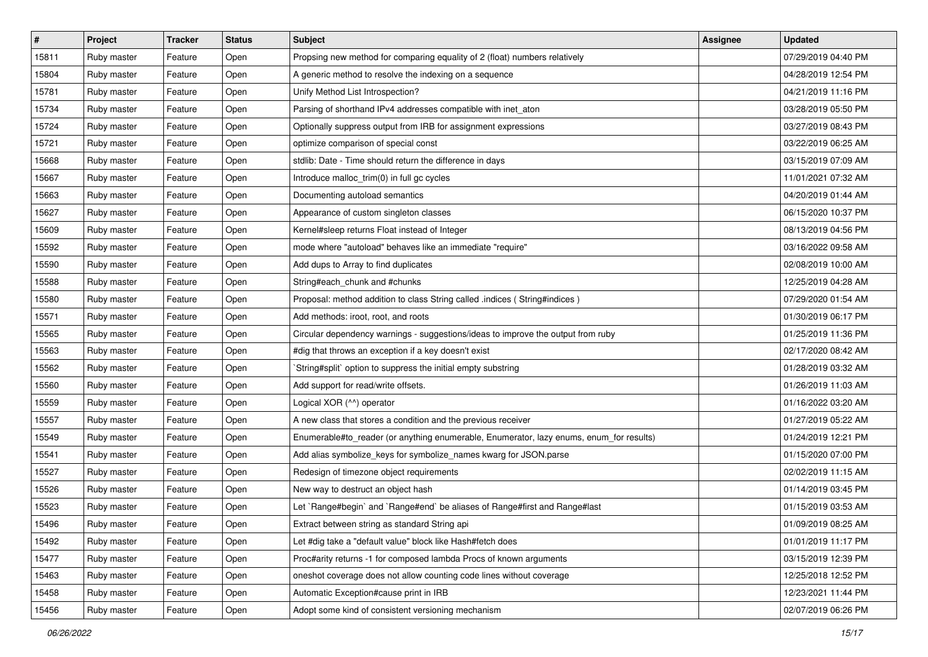| $\vert$ # | Project     | <b>Tracker</b> | <b>Status</b> | Subject                                                                                 | <b>Assignee</b> | <b>Updated</b>      |
|-----------|-------------|----------------|---------------|-----------------------------------------------------------------------------------------|-----------------|---------------------|
| 15811     | Ruby master | Feature        | Open          | Propsing new method for comparing equality of 2 (float) numbers relatively              |                 | 07/29/2019 04:40 PM |
| 15804     | Ruby master | Feature        | Open          | A generic method to resolve the indexing on a sequence                                  |                 | 04/28/2019 12:54 PM |
| 15781     | Ruby master | Feature        | Open          | Unify Method List Introspection?                                                        |                 | 04/21/2019 11:16 PM |
| 15734     | Ruby master | Feature        | Open          | Parsing of shorthand IPv4 addresses compatible with inet_aton                           |                 | 03/28/2019 05:50 PM |
| 15724     | Ruby master | Feature        | Open          | Optionally suppress output from IRB for assignment expressions                          |                 | 03/27/2019 08:43 PM |
| 15721     | Ruby master | Feature        | Open          | optimize comparison of special const                                                    |                 | 03/22/2019 06:25 AM |
| 15668     | Ruby master | Feature        | Open          | stdlib: Date - Time should return the difference in days                                |                 | 03/15/2019 07:09 AM |
| 15667     | Ruby master | Feature        | Open          | Introduce malloc_trim(0) in full gc cycles                                              |                 | 11/01/2021 07:32 AM |
| 15663     | Ruby master | Feature        | Open          | Documenting autoload semantics                                                          |                 | 04/20/2019 01:44 AM |
| 15627     | Ruby master | Feature        | Open          | Appearance of custom singleton classes                                                  |                 | 06/15/2020 10:37 PM |
| 15609     | Ruby master | Feature        | Open          | Kernel#sleep returns Float instead of Integer                                           |                 | 08/13/2019 04:56 PM |
| 15592     | Ruby master | Feature        | Open          | mode where "autoload" behaves like an immediate "require"                               |                 | 03/16/2022 09:58 AM |
| 15590     | Ruby master | Feature        | Open          | Add dups to Array to find duplicates                                                    |                 | 02/08/2019 10:00 AM |
| 15588     | Ruby master | Feature        | Open          | String#each_chunk and #chunks                                                           |                 | 12/25/2019 04:28 AM |
| 15580     | Ruby master | Feature        | Open          | Proposal: method addition to class String called .indices ( String#indices )            |                 | 07/29/2020 01:54 AM |
| 15571     | Ruby master | Feature        | Open          | Add methods: iroot, root, and roots                                                     |                 | 01/30/2019 06:17 PM |
| 15565     | Ruby master | Feature        | Open          | Circular dependency warnings - suggestions/ideas to improve the output from ruby        |                 | 01/25/2019 11:36 PM |
| 15563     | Ruby master | Feature        | Open          | #dig that throws an exception if a key doesn't exist                                    |                 | 02/17/2020 08:42 AM |
| 15562     | Ruby master | Feature        | Open          | String#split` option to suppress the initial empty substring                            |                 | 01/28/2019 03:32 AM |
| 15560     | Ruby master | Feature        | Open          | Add support for read/write offsets.                                                     |                 | 01/26/2019 11:03 AM |
| 15559     | Ruby master | Feature        | Open          | Logical XOR (^^) operator                                                               |                 | 01/16/2022 03:20 AM |
| 15557     | Ruby master | Feature        | Open          | A new class that stores a condition and the previous receiver                           |                 | 01/27/2019 05:22 AM |
| 15549     | Ruby master | Feature        | Open          | Enumerable#to_reader (or anything enumerable, Enumerator, lazy enums, enum_for results) |                 | 01/24/2019 12:21 PM |
| 15541     | Ruby master | Feature        | Open          | Add alias symbolize_keys for symbolize_names kwarg for JSON.parse                       |                 | 01/15/2020 07:00 PM |
| 15527     | Ruby master | Feature        | Open          | Redesign of timezone object requirements                                                |                 | 02/02/2019 11:15 AM |
| 15526     | Ruby master | Feature        | Open          | New way to destruct an object hash                                                      |                 | 01/14/2019 03:45 PM |
| 15523     | Ruby master | Feature        | Open          | Let `Range#begin` and `Range#end` be aliases of Range#first and Range#last              |                 | 01/15/2019 03:53 AM |
| 15496     | Ruby master | Feature        | Open          | Extract between string as standard String api                                           |                 | 01/09/2019 08:25 AM |
| 15492     | Ruby master | Feature        | Open          | Let #dig take a "default value" block like Hash#fetch does                              |                 | 01/01/2019 11:17 PM |
| 15477     | Ruby master | Feature        | Open          | Proc#arity returns -1 for composed lambda Procs of known arguments                      |                 | 03/15/2019 12:39 PM |
| 15463     | Ruby master | Feature        | Open          | oneshot coverage does not allow counting code lines without coverage                    |                 | 12/25/2018 12:52 PM |
| 15458     | Ruby master | Feature        | Open          | Automatic Exception#cause print in IRB                                                  |                 | 12/23/2021 11:44 PM |
| 15456     | Ruby master | Feature        | Open          | Adopt some kind of consistent versioning mechanism                                      |                 | 02/07/2019 06:26 PM |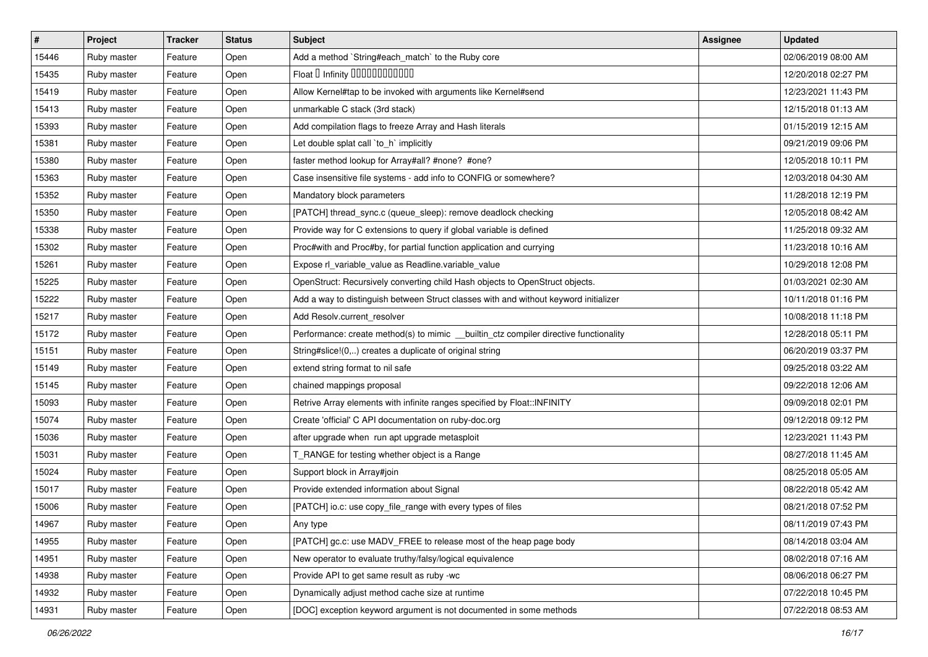| #     | <b>Project</b> | <b>Tracker</b> | <b>Status</b> | <b>Subject</b>                                                                        | Assignee | <b>Updated</b>      |
|-------|----------------|----------------|---------------|---------------------------------------------------------------------------------------|----------|---------------------|
| 15446 | Ruby master    | Feature        | Open          | Add a method `String#each_match` to the Ruby core                                     |          | 02/06/2019 08:00 AM |
| 15435 | Ruby master    | Feature        | Open          | Float D Infinity 000000000000                                                         |          | 12/20/2018 02:27 PM |
| 15419 | Ruby master    | Feature        | Open          | Allow Kernel#tap to be invoked with arguments like Kernel#send                        |          | 12/23/2021 11:43 PM |
| 15413 | Ruby master    | Feature        | Open          | unmarkable C stack (3rd stack)                                                        |          | 12/15/2018 01:13 AM |
| 15393 | Ruby master    | Feature        | Open          | Add compilation flags to freeze Array and Hash literals                               |          | 01/15/2019 12:15 AM |
| 15381 | Ruby master    | Feature        | Open          | Let double splat call 'to_h' implicitly                                               |          | 09/21/2019 09:06 PM |
| 15380 | Ruby master    | Feature        | Open          | faster method lookup for Array#all? #none? #one?                                      |          | 12/05/2018 10:11 PM |
| 15363 | Ruby master    | Feature        | Open          | Case insensitive file systems - add info to CONFIG or somewhere?                      |          | 12/03/2018 04:30 AM |
| 15352 | Ruby master    | Feature        | Open          | Mandatory block parameters                                                            |          | 11/28/2018 12:19 PM |
| 15350 | Ruby master    | Feature        | Open          | [PATCH] thread_sync.c (queue_sleep): remove deadlock checking                         |          | 12/05/2018 08:42 AM |
| 15338 | Ruby master    | Feature        | Open          | Provide way for C extensions to query if global variable is defined                   |          | 11/25/2018 09:32 AM |
| 15302 | Ruby master    | Feature        | Open          | Proc#with and Proc#by, for partial function application and currying                  |          | 11/23/2018 10:16 AM |
| 15261 | Ruby master    | Feature        | Open          | Expose rl_variable_value as Readline.variable_value                                   |          | 10/29/2018 12:08 PM |
| 15225 | Ruby master    | Feature        | Open          | OpenStruct: Recursively converting child Hash objects to OpenStruct objects.          |          | 01/03/2021 02:30 AM |
| 15222 | Ruby master    | Feature        | Open          | Add a way to distinguish between Struct classes with and without keyword initializer  |          | 10/11/2018 01:16 PM |
| 15217 | Ruby master    | Feature        | Open          | Add Resolv.current resolver                                                           |          | 10/08/2018 11:18 PM |
| 15172 | Ruby master    | Feature        | Open          | Performance: create method(s) to mimic __builtin_ctz compiler directive functionality |          | 12/28/2018 05:11 PM |
| 15151 | Ruby master    | Feature        | Open          | String#slice!(0,) creates a duplicate of original string                              |          | 06/20/2019 03:37 PM |
| 15149 | Ruby master    | Feature        | Open          | extend string format to nil safe                                                      |          | 09/25/2018 03:22 AM |
| 15145 | Ruby master    | Feature        | Open          | chained mappings proposal                                                             |          | 09/22/2018 12:06 AM |
| 15093 | Ruby master    | Feature        | Open          | Retrive Array elements with infinite ranges specified by Float::INFINITY              |          | 09/09/2018 02:01 PM |
| 15074 | Ruby master    | Feature        | Open          | Create 'official' C API documentation on ruby-doc.org                                 |          | 09/12/2018 09:12 PM |
| 15036 | Ruby master    | Feature        | Open          | after upgrade when run apt upgrade metasploit                                         |          | 12/23/2021 11:43 PM |
| 15031 | Ruby master    | Feature        | Open          | T_RANGE for testing whether object is a Range                                         |          | 08/27/2018 11:45 AM |
| 15024 | Ruby master    | Feature        | Open          | Support block in Array#join                                                           |          | 08/25/2018 05:05 AM |
| 15017 | Ruby master    | Feature        | Open          | Provide extended information about Signal                                             |          | 08/22/2018 05:42 AM |
| 15006 | Ruby master    | Feature        | Open          | [PATCH] io.c: use copy_file_range with every types of files                           |          | 08/21/2018 07:52 PM |
| 14967 | Ruby master    | Feature        | Open          | Any type                                                                              |          | 08/11/2019 07:43 PM |
| 14955 | Ruby master    | Feature        | Open          | [PATCH] gc.c: use MADV_FREE to release most of the heap page body                     |          | 08/14/2018 03:04 AM |
| 14951 | Ruby master    | Feature        | Open          | New operator to evaluate truthy/falsy/logical equivalence                             |          | 08/02/2018 07:16 AM |
| 14938 | Ruby master    | Feature        | Open          | Provide API to get same result as ruby -wc                                            |          | 08/06/2018 06:27 PM |
| 14932 | Ruby master    | Feature        | Open          | Dynamically adjust method cache size at runtime                                       |          | 07/22/2018 10:45 PM |
| 14931 | Ruby master    | Feature        | Open          | [DOC] exception keyword argument is not documented in some methods                    |          | 07/22/2018 08:53 AM |